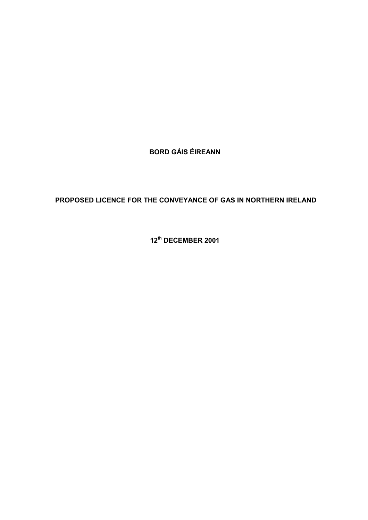**BORD GÁIS ÉIREANN** 

# **PROPOSED LICENCE FOR THE CONVEYANCE OF GAS IN NORTHERN IRELAND**

**12th DECEMBER 2001**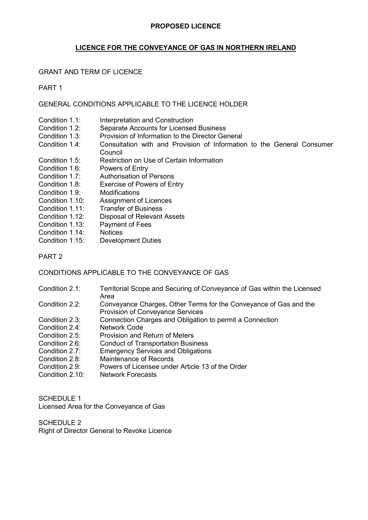### **LICENCE FOR THE CONVEYANCE OF GAS IN NORTHERN IRELAND**

### GRANT AND TERM OF LICENCE

PART 1

#### GENERAL CONDITIONS APPLICABLE TO THE LICENCE HOLDER

- Condition 1.1: Interpretation and Construction<br>Condition 1.2: Separate Accounts for Licensed
- Separate Accounts for Licensed Business
- Condition 1.3: Provision of Information to the Director General
- Condition 1.4: Consultation with and Provision of Information to the General Consumer Council
- Condition 1.5: Restriction on Use of Certain Information
- Condition 1.6: Powers of Entry
- Condition 1.7: Authorisation of Persons
- Condition 1.8: Exercise of Powers of Entry
- Condition 1.9: Modifications
- Condition 1.10: Assignment of Licences
- Condition 1.11: Transfer of Business
- Condition 1.12: Disposal of Relevant Assets
- Condition 1.13: Payment of Fees
- Condition 1.14: Notices
- Condition 1.15: Development Duties
- PART 2

CONDITIONS APPLICABLE TO THE CONVEYANCE OF GAS

- Condition 2.1: Territorial Scope and Securing of Conveyance of Gas within the Licensed Area
- Condition 2.2: Conveyance Charges, Other Terms for the Conveyance of Gas and the Provision of Conveyance Services
- Condition 2.3: Connection Charges and Obligation to permit a Connection
- Condition 2.4: Network Code
- Condition 2.5: Provision and Return of Meters
- Condition 2.6: Conduct of Transportation Business
- Condition 2.7: Emergency Services and Obligations
- Condition 2.8: Maintenance of Records
- Condition 2.9: Powers of Licensee under Article 13 of the Order
- Condition 2.10: Network Forecasts

SCHEDULE 1 Licensed Area for the Conveyance of Gas

SCHEDULE 2 Right of Director General to Revoke Licence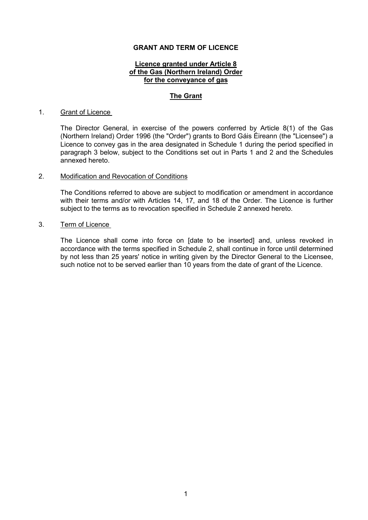### **GRANT AND TERM OF LICENCE**

#### **Licence granted under Article 8 of the Gas (Northern Ireland) Order for the conveyance of gas**

#### **The Grant**

#### 1. Grant of Licence

The Director General, in exercise of the powers conferred by Article 8(1) of the Gas (Northern Ireland) Order 1996 (the "Order") grants to Bord Gáis Éireann (the "Licensee") a Licence to convey gas in the area designated in Schedule 1 during the period specified in paragraph 3 below, subject to the Conditions set out in Parts 1 and 2 and the Schedules annexed hereto.

#### 2. Modification and Revocation of Conditions

The Conditions referred to above are subject to modification or amendment in accordance with their terms and/or with Articles 14, 17, and 18 of the Order. The Licence is further subject to the terms as to revocation specified in Schedule 2 annexed hereto.

#### 3. Term of Licence

The Licence shall come into force on [date to be inserted] and, unless revoked in accordance with the terms specified in Schedule 2, shall continue in force until determined by not less than 25 years' notice in writing given by the Director General to the Licensee, such notice not to be served earlier than 10 years from the date of grant of the Licence.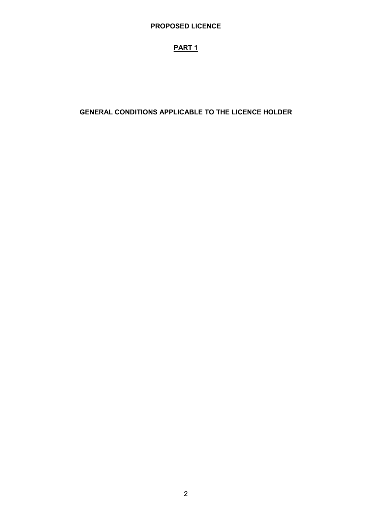# **PART 1**

## **GENERAL CONDITIONS APPLICABLE TO THE LICENCE HOLDER**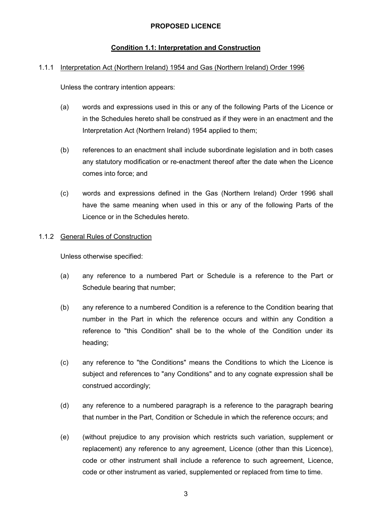### **Condition 1.1: Interpretation and Construction**

#### 1.1.1 Interpretation Act (Northern Ireland) 1954 and Gas (Northern Ireland) Order 1996

Unless the contrary intention appears:

- (a) words and expressions used in this or any of the following Parts of the Licence or in the Schedules hereto shall be construed as if they were in an enactment and the Interpretation Act (Northern Ireland) 1954 applied to them;
- (b) references to an enactment shall include subordinate legislation and in both cases any statutory modification or re-enactment thereof after the date when the Licence comes into force; and
- (c) words and expressions defined in the Gas (Northern Ireland) Order 1996 shall have the same meaning when used in this or any of the following Parts of the Licence or in the Schedules hereto.

#### 1.1.2 General Rules of Construction

Unless otherwise specified:

- (a) any reference to a numbered Part or Schedule is a reference to the Part or Schedule bearing that number;
- (b) any reference to a numbered Condition is a reference to the Condition bearing that number in the Part in which the reference occurs and within any Condition a reference to "this Condition" shall be to the whole of the Condition under its heading;
- (c) any reference to "the Conditions" means the Conditions to which the Licence is subject and references to "any Conditions" and to any cognate expression shall be construed accordingly;
- (d) any reference to a numbered paragraph is a reference to the paragraph bearing that number in the Part, Condition or Schedule in which the reference occurs; and
- (e) (without prejudice to any provision which restricts such variation, supplement or replacement) any reference to any agreement, Licence (other than this Licence), code or other instrument shall include a reference to such agreement, Licence, code or other instrument as varied, supplemented or replaced from time to time.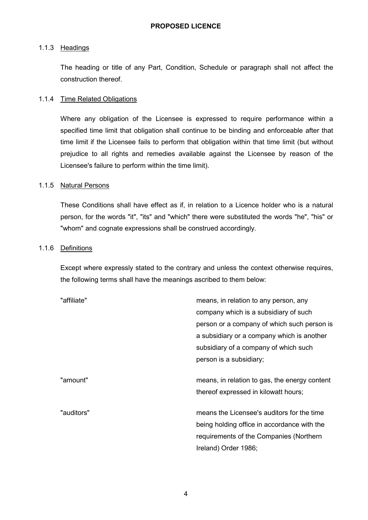#### 1.1.3 Headings

The heading or title of any Part, Condition, Schedule or paragraph shall not affect the construction thereof.

### 1.1.4 Time Related Obligations

Where any obligation of the Licensee is expressed to require performance within a specified time limit that obligation shall continue to be binding and enforceable after that time limit if the Licensee fails to perform that obligation within that time limit (but without prejudice to all rights and remedies available against the Licensee by reason of the Licensee's failure to perform within the time limit).

#### 1.1.5 Natural Persons

These Conditions shall have effect as if, in relation to a Licence holder who is a natural person, for the words "it", "its" and "which" there were substituted the words "he", "his" or "whom" and cognate expressions shall be construed accordingly.

#### 1.1.6 Definitions

Except where expressly stated to the contrary and unless the context otherwise requires, the following terms shall have the meanings ascribed to them below:

| "affiliate" | means, in relation to any person, any         |
|-------------|-----------------------------------------------|
|             | company which is a subsidiary of such         |
|             | person or a company of which such person is   |
|             | a subsidiary or a company which is another    |
|             | subsidiary of a company of which such         |
|             | person is a subsidiary;                       |
| "amount"    | means, in relation to gas, the energy content |
|             | thereof expressed in kilowatt hours;          |
| "auditors"  | means the Licensee's auditors for the time    |
|             | being holding office in accordance with the   |
|             | requirements of the Companies (Northern       |
|             | Ireland) Order 1986;                          |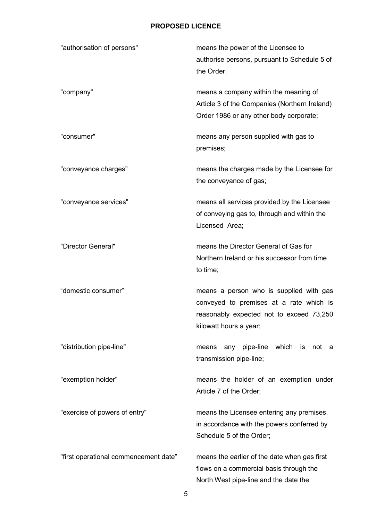| "authorisation of persons"            | means the power of the Licensee to<br>authorise persons, pursuant to Schedule 5 of<br>the Order;                                                         |
|---------------------------------------|----------------------------------------------------------------------------------------------------------------------------------------------------------|
| "company"                             | means a company within the meaning of<br>Article 3 of the Companies (Northern Ireland)<br>Order 1986 or any other body corporate;                        |
| "consumer"                            | means any person supplied with gas to<br>premises;                                                                                                       |
| "conveyance charges"                  | means the charges made by the Licensee for<br>the conveyance of gas;                                                                                     |
| "conveyance services"                 | means all services provided by the Licensee<br>of conveying gas to, through and within the<br>Licensed Area;                                             |
| "Director General"                    | means the Director General of Gas for<br>Northern Ireland or his successor from time<br>to time;                                                         |
| "domestic consumer"                   | means a person who is supplied with gas<br>conveyed to premises at a rate which is<br>reasonably expected not to exceed 73,250<br>kilowatt hours a year; |
| "distribution pipe-line"              | pipe-line<br>which is<br>not<br>any<br>means<br>- a<br>transmission pipe-line;                                                                           |
| "exemption holder"                    | means the holder of an exemption under<br>Article 7 of the Order;                                                                                        |
| "exercise of powers of entry"         | means the Licensee entering any premises,<br>in accordance with the powers conferred by<br>Schedule 5 of the Order;                                      |
| "first operational commencement date" | means the earlier of the date when gas first<br>flows on a commercial basis through the<br>North West pipe-line and the date the                         |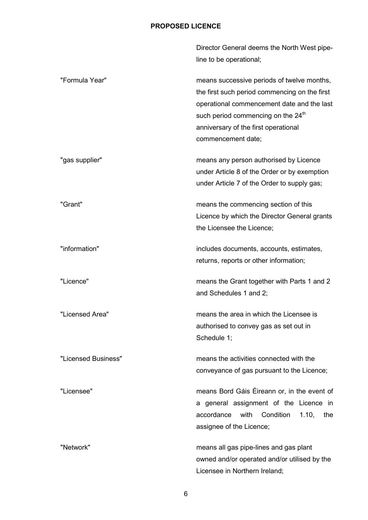|                     | Director General deems the North West pipe-<br>line to be operational;                                                                                                                                                                                    |
|---------------------|-----------------------------------------------------------------------------------------------------------------------------------------------------------------------------------------------------------------------------------------------------------|
| "Formula Year"      | means successive periods of twelve months,<br>the first such period commencing on the first<br>operational commencement date and the last<br>such period commencing on the 24 <sup>th</sup><br>anniversary of the first operational<br>commencement date; |
| "gas supplier"      | means any person authorised by Licence<br>under Article 8 of the Order or by exemption<br>under Article 7 of the Order to supply gas;                                                                                                                     |
| "Grant"             | means the commencing section of this<br>Licence by which the Director General grants<br>the Licensee the Licence;                                                                                                                                         |
| "information"       | includes documents, accounts, estimates,<br>returns, reports or other information;                                                                                                                                                                        |
| "Licence"           | means the Grant together with Parts 1 and 2<br>and Schedules 1 and 2;                                                                                                                                                                                     |
| "Licensed Area"     | means the area in which the Licensee is<br>authorised to convey gas as set out in<br>Schedule 1;                                                                                                                                                          |
| "Licensed Business" | means the activities connected with the<br>conveyance of gas pursuant to the Licence;                                                                                                                                                                     |
| "Licensee"          | means Bord Gáis Éireann or, in the event of<br>a general assignment of the Licence in<br>Condition<br>1.10,<br>accordance with<br>the<br>assignee of the Licence;                                                                                         |
| "Network"           | means all gas pipe-lines and gas plant<br>owned and/or operated and/or utilised by the<br>Licensee in Northern Ireland;                                                                                                                                   |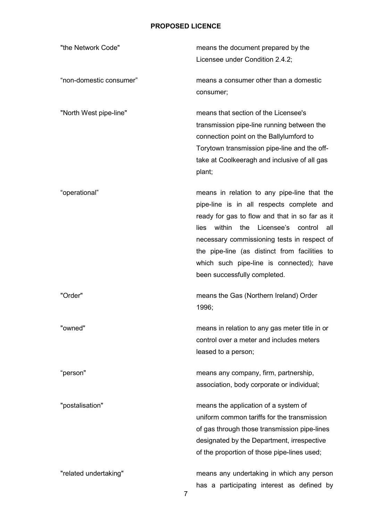| "the Network Code"      | means the document prepared by the<br>Licensee under Condition 2.4.2;                                                                                                                                                                                                                                                                                                           |
|-------------------------|---------------------------------------------------------------------------------------------------------------------------------------------------------------------------------------------------------------------------------------------------------------------------------------------------------------------------------------------------------------------------------|
| "non-domestic consumer" | means a consumer other than a domestic<br>consumer;                                                                                                                                                                                                                                                                                                                             |
| "North West pipe-line"  | means that section of the Licensee's<br>transmission pipe-line running between the<br>connection point on the Ballylumford to<br>Torytown transmission pipe-line and the off-<br>take at Coolkeeragh and inclusive of all gas<br>plant;                                                                                                                                         |
| "operational"           | means in relation to any pipe-line that the<br>pipe-line is in all respects complete and<br>ready for gas to flow and that in so far as it<br>within<br>the<br>Licensee's<br>control<br>lies<br>all<br>necessary commissioning tests in respect of<br>the pipe-line (as distinct from facilities to<br>which such pipe-line is connected); have<br>been successfully completed. |
| "Order"                 | means the Gas (Northern Ireland) Order<br>1996;                                                                                                                                                                                                                                                                                                                                 |
| "owned"                 | means in relation to any gas meter title in or<br>control over a meter and includes meters<br>leased to a person;                                                                                                                                                                                                                                                               |
| "person"                | means any company, firm, partnership,<br>association, body corporate or individual;                                                                                                                                                                                                                                                                                             |
| "postalisation"         | means the application of a system of<br>uniform common tariffs for the transmission<br>of gas through those transmission pipe-lines<br>designated by the Department, irrespective<br>of the proportion of those pipe-lines used;                                                                                                                                                |
| "related undertaking"   | means any undertaking in which any person<br>has a participating interest as defined by                                                                                                                                                                                                                                                                                         |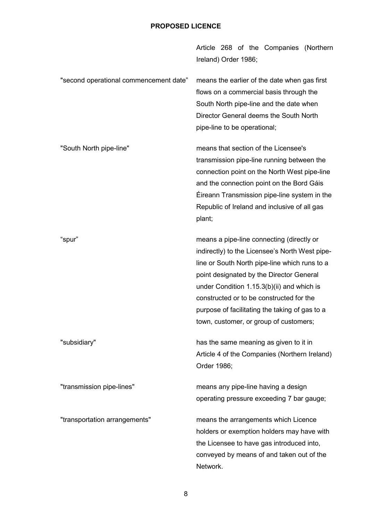|                                        | Article 268 of the Companies (Northern<br>Ireland) Order 1986;                                                                                                                                                                                                                                                                                                                   |
|----------------------------------------|----------------------------------------------------------------------------------------------------------------------------------------------------------------------------------------------------------------------------------------------------------------------------------------------------------------------------------------------------------------------------------|
| "second operational commencement date" | means the earlier of the date when gas first<br>flows on a commercial basis through the<br>South North pipe-line and the date when<br>Director General deems the South North<br>pipe-line to be operational;                                                                                                                                                                     |
| "South North pipe-line"                | means that section of the Licensee's<br>transmission pipe-line running between the<br>connection point on the North West pipe-line<br>and the connection point on the Bord Gáis<br>Eireann Transmission pipe-line system in the<br>Republic of Ireland and inclusive of all gas<br>plant;                                                                                        |
| "spur"                                 | means a pipe-line connecting (directly or<br>indirectly) to the Licensee's North West pipe-<br>line or South North pipe-line which runs to a<br>point designated by the Director General<br>under Condition $1.15.3(b)(ii)$ and which is<br>constructed or to be constructed for the<br>purpose of facilitating the taking of gas to a<br>town, customer, or group of customers; |
| "subsidiary"                           | has the same meaning as given to it in<br>Article 4 of the Companies (Northern Ireland)<br>Order 1986;                                                                                                                                                                                                                                                                           |
| "transmission pipe-lines"              | means any pipe-line having a design<br>operating pressure exceeding 7 bar gauge;                                                                                                                                                                                                                                                                                                 |
| "transportation arrangements"          | means the arrangements which Licence<br>holders or exemption holders may have with<br>the Licensee to have gas introduced into,<br>conveyed by means of and taken out of the<br>Network.                                                                                                                                                                                         |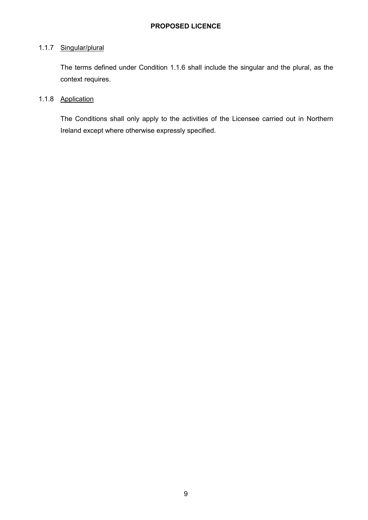#### 1.1.7 Singular/plural

The terms defined under Condition 1.1.6 shall include the singular and the plural, as the context requires.

# 1.1.8 Application

The Conditions shall only apply to the activities of the Licensee carried out in Northern Ireland except where otherwise expressly specified.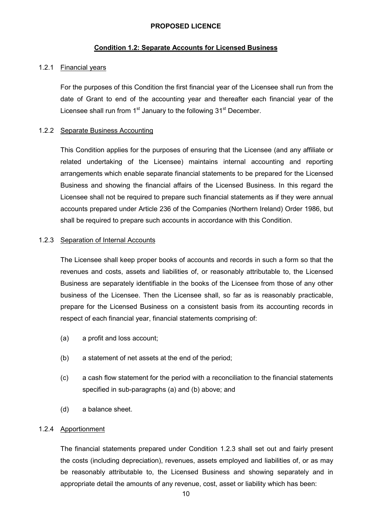### **Condition 1.2: Separate Accounts for Licensed Business**

### 1.2.1 Financial years

For the purposes of this Condition the first financial year of the Licensee shall run from the date of Grant to end of the accounting year and thereafter each financial year of the Licensee shall run from  $1<sup>st</sup>$  January to the following  $31<sup>st</sup>$  December.

### 1.2.2 Separate Business Accounting

This Condition applies for the purposes of ensuring that the Licensee (and any affiliate or related undertaking of the Licensee) maintains internal accounting and reporting arrangements which enable separate financial statements to be prepared for the Licensed Business and showing the financial affairs of the Licensed Business. In this regard the Licensee shall not be required to prepare such financial statements as if they were annual accounts prepared under Article 236 of the Companies (Northern Ireland) Order 1986, but shall be required to prepare such accounts in accordance with this Condition.

### 1.2.3 Separation of Internal Accounts

The Licensee shall keep proper books of accounts and records in such a form so that the revenues and costs, assets and liabilities of, or reasonably attributable to, the Licensed Business are separately identifiable in the books of the Licensee from those of any other business of the Licensee. Then the Licensee shall, so far as is reasonably practicable, prepare for the Licensed Business on a consistent basis from its accounting records in respect of each financial year, financial statements comprising of:

- (a) a profit and loss account;
- (b) a statement of net assets at the end of the period;
- (c) a cash flow statement for the period with a reconciliation to the financial statements specified in sub-paragraphs (a) and (b) above; and
- (d) a balance sheet.

#### 1.2.4 Apportionment

The financial statements prepared under Condition 1.2.3 shall set out and fairly present the costs (including depreciation), revenues, assets employed and liabilities of, or as may be reasonably attributable to, the Licensed Business and showing separately and in appropriate detail the amounts of any revenue, cost, asset or liability which has been: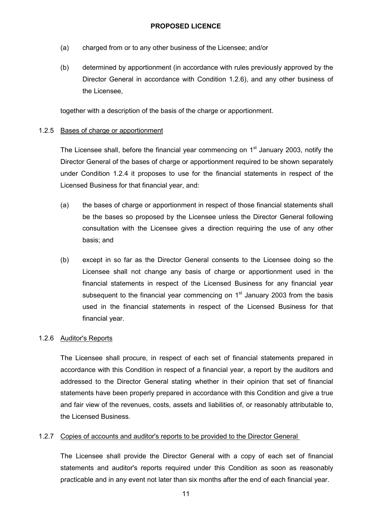- (a) charged from or to any other business of the Licensee; and/or
- (b) determined by apportionment (in accordance with rules previously approved by the Director General in accordance with Condition 1.2.6), and any other business of the Licensee,

together with a description of the basis of the charge or apportionment.

### 1.2.5 Bases of charge or apportionment

The Licensee shall, before the financial year commencing on  $1<sup>st</sup>$  January 2003, notify the Director General of the bases of charge or apportionment required to be shown separately under Condition 1.2.4 it proposes to use for the financial statements in respect of the Licensed Business for that financial year, and:

- (a) the bases of charge or apportionment in respect of those financial statements shall be the bases so proposed by the Licensee unless the Director General following consultation with the Licensee gives a direction requiring the use of any other basis; and
- (b) except in so far as the Director General consents to the Licensee doing so the Licensee shall not change any basis of charge or apportionment used in the financial statements in respect of the Licensed Business for any financial year subsequent to the financial year commencing on  $1<sup>st</sup>$  January 2003 from the basis used in the financial statements in respect of the Licensed Business for that financial year.

### 1.2.6 Auditor's Reports

The Licensee shall procure, in respect of each set of financial statements prepared in accordance with this Condition in respect of a financial year, a report by the auditors and addressed to the Director General stating whether in their opinion that set of financial statements have been properly prepared in accordance with this Condition and give a true and fair view of the revenues, costs, assets and liabilities of, or reasonably attributable to, the Licensed Business.

### 1.2.7 Copies of accounts and auditor's reports to be provided to the Director General

The Licensee shall provide the Director General with a copy of each set of financial statements and auditor's reports required under this Condition as soon as reasonably practicable and in any event not later than six months after the end of each financial year.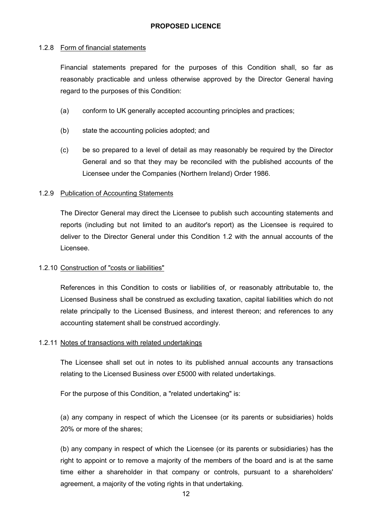### 1.2.8 Form of financial statements

Financial statements prepared for the purposes of this Condition shall, so far as reasonably practicable and unless otherwise approved by the Director General having regard to the purposes of this Condition:

- (a) conform to UK generally accepted accounting principles and practices;
- (b) state the accounting policies adopted; and
- (c) be so prepared to a level of detail as may reasonably be required by the Director General and so that they may be reconciled with the published accounts of the Licensee under the Companies (Northern Ireland) Order 1986.

### 1.2.9 Publication of Accounting Statements

The Director General may direct the Licensee to publish such accounting statements and reports (including but not limited to an auditor's report) as the Licensee is required to deliver to the Director General under this Condition 1.2 with the annual accounts of the Licensee.

### 1.2.10 Construction of "costs or liabilities"

References in this Condition to costs or liabilities of, or reasonably attributable to, the Licensed Business shall be construed as excluding taxation, capital liabilities which do not relate principally to the Licensed Business, and interest thereon; and references to any accounting statement shall be construed accordingly.

#### 1.2.11 Notes of transactions with related undertakings

The Licensee shall set out in notes to its published annual accounts any transactions relating to the Licensed Business over £5000 with related undertakings.

For the purpose of this Condition, a "related undertaking" is:

(a) any company in respect of which the Licensee (or its parents or subsidiaries) holds 20% or more of the shares;

(b) any company in respect of which the Licensee (or its parents or subsidiaries) has the right to appoint or to remove a majority of the members of the board and is at the same time either a shareholder in that company or controls, pursuant to a shareholders' agreement, a majority of the voting rights in that undertaking.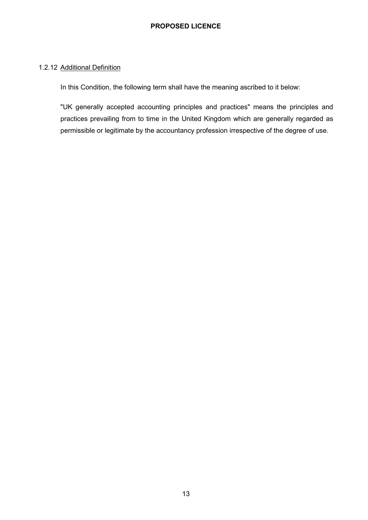#### 1.2.12 Additional Definition

In this Condition, the following term shall have the meaning ascribed to it below:

"UK generally accepted accounting principles and practices" means the principles and practices prevailing from to time in the United Kingdom which are generally regarded as permissible or legitimate by the accountancy profession irrespective of the degree of use.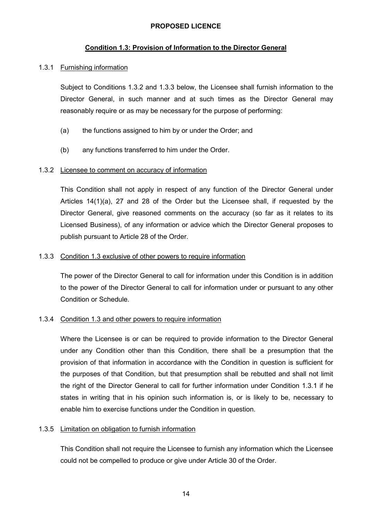### **Condition 1.3: Provision of Information to the Director General**

#### 1.3.1 Furnishing information

Subject to Conditions 1.3.2 and 1.3.3 below, the Licensee shall furnish information to the Director General, in such manner and at such times as the Director General may reasonably require or as may be necessary for the purpose of performing:

- (a) the functions assigned to him by or under the Order; and
- (b) any functions transferred to him under the Order.

#### 1.3.2 Licensee to comment on accuracy of information

This Condition shall not apply in respect of any function of the Director General under Articles 14(1)(a), 27 and 28 of the Order but the Licensee shall, if requested by the Director General, give reasoned comments on the accuracy (so far as it relates to its Licensed Business), of any information or advice which the Director General proposes to publish pursuant to Article 28 of the Order.

#### 1.3.3 Condition 1.3 exclusive of other powers to require information

The power of the Director General to call for information under this Condition is in addition to the power of the Director General to call for information under or pursuant to any other Condition or Schedule.

#### 1.3.4 Condition 1.3 and other powers to require information

Where the Licensee is or can be required to provide information to the Director General under any Condition other than this Condition, there shall be a presumption that the provision of that information in accordance with the Condition in question is sufficient for the purposes of that Condition, but that presumption shall be rebutted and shall not limit the right of the Director General to call for further information under Condition 1.3.1 if he states in writing that in his opinion such information is, or is likely to be, necessary to enable him to exercise functions under the Condition in question.

#### 1.3.5 Limitation on obligation to furnish information

This Condition shall not require the Licensee to furnish any information which the Licensee could not be compelled to produce or give under Article 30 of the Order.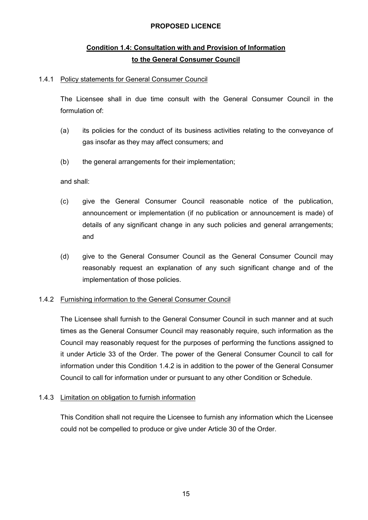# **Condition 1.4: Consultation with and Provision of Information to the General Consumer Council**

### 1.4.1 Policy statements for General Consumer Council

The Licensee shall in due time consult with the General Consumer Council in the formulation of:

- (a) its policies for the conduct of its business activities relating to the conveyance of gas insofar as they may affect consumers; and
- (b) the general arrangements for their implementation;

### and shall:

- (c) give the General Consumer Council reasonable notice of the publication, announcement or implementation (if no publication or announcement is made) of details of any significant change in any such policies and general arrangements; and
- (d) give to the General Consumer Council as the General Consumer Council may reasonably request an explanation of any such significant change and of the implementation of those policies.

### 1.4.2 Furnishing information to the General Consumer Council

The Licensee shall furnish to the General Consumer Council in such manner and at such times as the General Consumer Council may reasonably require, such information as the Council may reasonably request for the purposes of performing the functions assigned to it under Article 33 of the Order. The power of the General Consumer Council to call for information under this Condition 1.4.2 is in addition to the power of the General Consumer Council to call for information under or pursuant to any other Condition or Schedule.

### 1.4.3 Limitation on obligation to furnish information

This Condition shall not require the Licensee to furnish any information which the Licensee could not be compelled to produce or give under Article 30 of the Order.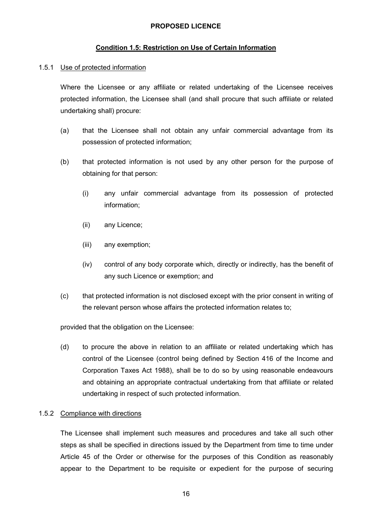### **Condition 1.5: Restriction on Use of Certain Information**

#### 1.5.1 Use of protected information

Where the Licensee or any affiliate or related undertaking of the Licensee receives protected information, the Licensee shall (and shall procure that such affiliate or related undertaking shall) procure:

- (a) that the Licensee shall not obtain any unfair commercial advantage from its possession of protected information;
- (b) that protected information is not used by any other person for the purpose of obtaining for that person:
	- (i) any unfair commercial advantage from its possession of protected information;
	- (ii) any Licence;
	- (iii) any exemption;
	- (iv) control of any body corporate which, directly or indirectly, has the benefit of any such Licence or exemption; and
- (c) that protected information is not disclosed except with the prior consent in writing of the relevant person whose affairs the protected information relates to;

provided that the obligation on the Licensee:

(d) to procure the above in relation to an affiliate or related undertaking which has control of the Licensee (control being defined by Section 416 of the Income and Corporation Taxes Act 1988), shall be to do so by using reasonable endeavours and obtaining an appropriate contractual undertaking from that affiliate or related undertaking in respect of such protected information.

#### 1.5.2 Compliance with directions

The Licensee shall implement such measures and procedures and take all such other steps as shall be specified in directions issued by the Department from time to time under Article 45 of the Order or otherwise for the purposes of this Condition as reasonably appear to the Department to be requisite or expedient for the purpose of securing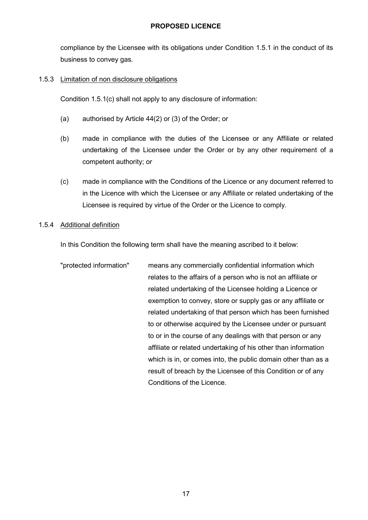compliance by the Licensee with its obligations under Condition 1.5.1 in the conduct of its business to convey gas.

### 1.5.3 Limitation of non disclosure obligations

Condition 1.5.1(c) shall not apply to any disclosure of information:

- (a) authorised by Article 44(2) or (3) of the Order; or
- (b) made in compliance with the duties of the Licensee or any Affiliate or related undertaking of the Licensee under the Order or by any other requirement of a competent authority; or
- (c) made in compliance with the Conditions of the Licence or any document referred to in the Licence with which the Licensee or any Affiliate or related undertaking of the Licensee is required by virtue of the Order or the Licence to comply.

### 1.5.4 Additional definition

In this Condition the following term shall have the meaning ascribed to it below:

"protected information" means any commercially confidential information which relates to the affairs of a person who is not an affiliate or related undertaking of the Licensee holding a Licence or exemption to convey, store or supply gas or any affiliate or related undertaking of that person which has been furnished to or otherwise acquired by the Licensee under or pursuant to or in the course of any dealings with that person or any affiliate or related undertaking of his other than information which is in, or comes into, the public domain other than as a result of breach by the Licensee of this Condition or of any Conditions of the Licence.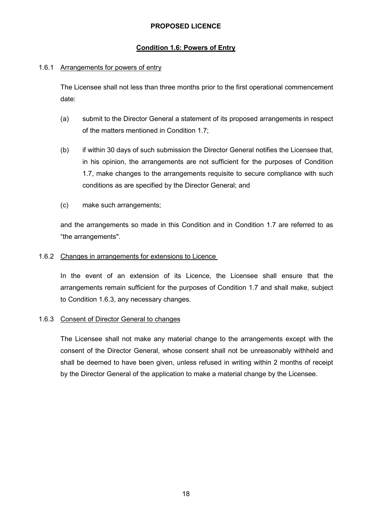### **Condition 1.6: Powers of Entry**

### 1.6.1 Arrangements for powers of entry

The Licensee shall not less than three months prior to the first operational commencement date:

- (a) submit to the Director General a statement of its proposed arrangements in respect of the matters mentioned in Condition 1.7;
- (b) if within 30 days of such submission the Director General notifies the Licensee that, in his opinion, the arrangements are not sufficient for the purposes of Condition 1.7, make changes to the arrangements requisite to secure compliance with such conditions as are specified by the Director General; and
- (c) make such arrangements;

and the arrangements so made in this Condition and in Condition 1.7 are referred to as "the arrangements".

### 1.6.2 Changes in arrangements for extensions to Licence

In the event of an extension of its Licence, the Licensee shall ensure that the arrangements remain sufficient for the purposes of Condition 1.7 and shall make, subject to Condition 1.6.3, any necessary changes.

### 1.6.3 Consent of Director General to changes

The Licensee shall not make any material change to the arrangements except with the consent of the Director General, whose consent shall not be unreasonably withheld and shall be deemed to have been given, unless refused in writing within 2 months of receipt by the Director General of the application to make a material change by the Licensee.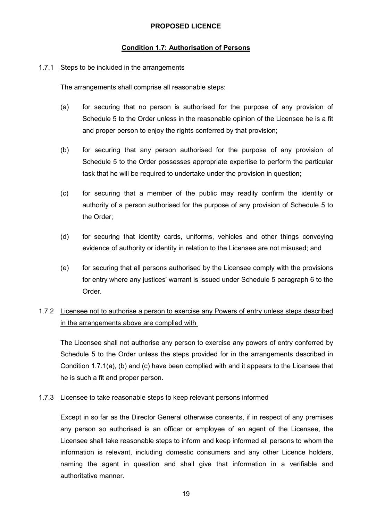### **Condition 1.7: Authorisation of Persons**

#### 1.7.1 Steps to be included in the arrangements

The arrangements shall comprise all reasonable steps:

- (a) for securing that no person is authorised for the purpose of any provision of Schedule 5 to the Order unless in the reasonable opinion of the Licensee he is a fit and proper person to enjoy the rights conferred by that provision;
- (b) for securing that any person authorised for the purpose of any provision of Schedule 5 to the Order possesses appropriate expertise to perform the particular task that he will be required to undertake under the provision in question;
- (c) for securing that a member of the public may readily confirm the identity or authority of a person authorised for the purpose of any provision of Schedule 5 to the Order;
- (d) for securing that identity cards, uniforms, vehicles and other things conveying evidence of authority or identity in relation to the Licensee are not misused; and
- (e) for securing that all persons authorised by the Licensee comply with the provisions for entry where any justices' warrant is issued under Schedule 5 paragraph 6 to the Order.

# 1.7.2 Licensee not to authorise a person to exercise any Powers of entry unless steps described in the arrangements above are complied with

The Licensee shall not authorise any person to exercise any powers of entry conferred by Schedule 5 to the Order unless the steps provided for in the arrangements described in Condition 1.7.1(a), (b) and (c) have been complied with and it appears to the Licensee that he is such a fit and proper person.

#### 1.7.3 Licensee to take reasonable steps to keep relevant persons informed

Except in so far as the Director General otherwise consents, if in respect of any premises any person so authorised is an officer or employee of an agent of the Licensee, the Licensee shall take reasonable steps to inform and keep informed all persons to whom the information is relevant, including domestic consumers and any other Licence holders, naming the agent in question and shall give that information in a verifiable and authoritative manner.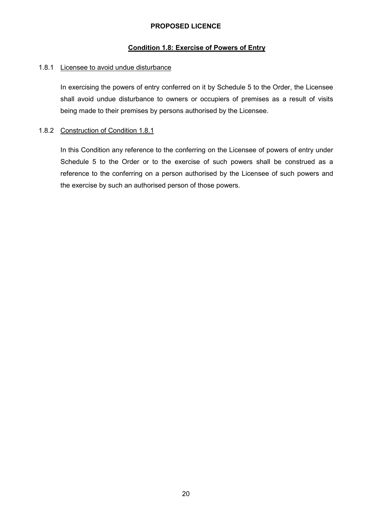### **Condition 1.8: Exercise of Powers of Entry**

### 1.8.1 Licensee to avoid undue disturbance

In exercising the powers of entry conferred on it by Schedule 5 to the Order, the Licensee shall avoid undue disturbance to owners or occupiers of premises as a result of visits being made to their premises by persons authorised by the Licensee.

### 1.8.2 Construction of Condition 1.8.1

In this Condition any reference to the conferring on the Licensee of powers of entry under Schedule 5 to the Order or to the exercise of such powers shall be construed as a reference to the conferring on a person authorised by the Licensee of such powers and the exercise by such an authorised person of those powers.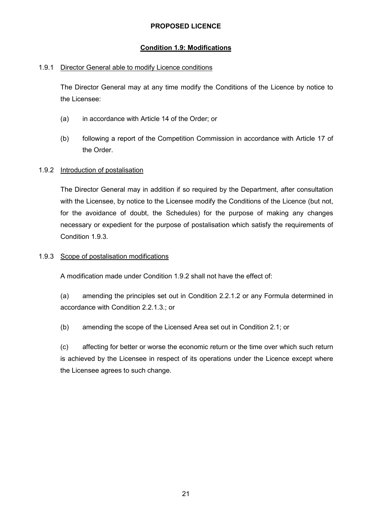### **Condition 1.9: Modifications**

### 1.9.1 Director General able to modify Licence conditions

The Director General may at any time modify the Conditions of the Licence by notice to the Licensee:

- (a) in accordance with Article 14 of the Order; or
- (b) following a report of the Competition Commission in accordance with Article 17 of the Order.

### 1.9.2 Introduction of postalisation

The Director General may in addition if so required by the Department, after consultation with the Licensee, by notice to the Licensee modify the Conditions of the Licence (but not, for the avoidance of doubt, the Schedules) for the purpose of making any changes necessary or expedient for the purpose of postalisation which satisfy the requirements of Condition 1.9.3.

### 1.9.3 Scope of postalisation modifications

A modification made under Condition 1.9.2 shall not have the effect of:

(a) amending the principles set out in Condition 2.2.1.2 or any Formula determined in accordance with Condition 2.2.1.3.; or

(b) amending the scope of the Licensed Area set out in Condition 2.1; or

(c) affecting for better or worse the economic return or the time over which such return is achieved by the Licensee in respect of its operations under the Licence except where the Licensee agrees to such change.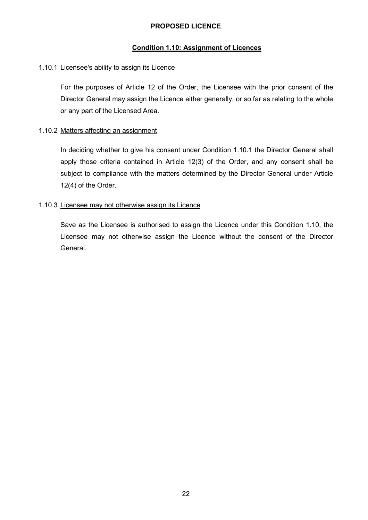### **Condition 1.10: Assignment of Licences**

### 1.10.1 Licensee's ability to assign its Licence

For the purposes of Article 12 of the Order, the Licensee with the prior consent of the Director General may assign the Licence either generally, or so far as relating to the whole or any part of the Licensed Area.

### 1.10.2 Matters affecting an assignment

In deciding whether to give his consent under Condition 1.10.1 the Director General shall apply those criteria contained in Article 12(3) of the Order, and any consent shall be subject to compliance with the matters determined by the Director General under Article 12(4) of the Order.

### 1.10.3 Licensee may not otherwise assign its Licence

Save as the Licensee is authorised to assign the Licence under this Condition 1.10, the Licensee may not otherwise assign the Licence without the consent of the Director General.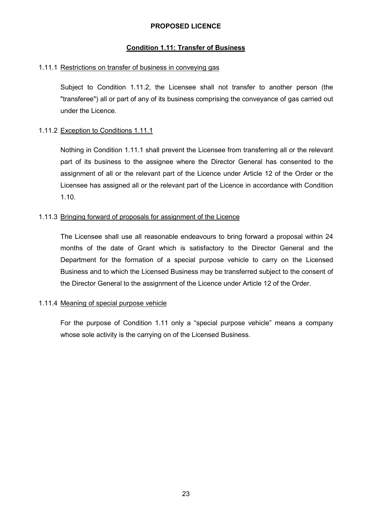### **Condition 1.11: Transfer of Business**

#### 1.11.1 Restrictions on transfer of business in conveying gas

Subject to Condition 1.11.2, the Licensee shall not transfer to another person (the "transferee") all or part of any of its business comprising the conveyance of gas carried out under the Licence.

#### 1.11.2 Exception to Conditions 1.11.1

Nothing in Condition 1.11.1 shall prevent the Licensee from transferring all or the relevant part of its business to the assignee where the Director General has consented to the assignment of all or the relevant part of the Licence under Article 12 of the Order or the Licensee has assigned all or the relevant part of the Licence in accordance with Condition 1.10.

#### 1.11.3 Bringing forward of proposals for assignment of the Licence

The Licensee shall use all reasonable endeavours to bring forward a proposal within 24 months of the date of Grant which is satisfactory to the Director General and the Department for the formation of a special purpose vehicle to carry on the Licensed Business and to which the Licensed Business may be transferred subject to the consent of the Director General to the assignment of the Licence under Article 12 of the Order.

#### 1.11.4 Meaning of special purpose vehicle

For the purpose of Condition 1.11 only a "special purpose vehicle" means a company whose sole activity is the carrying on of the Licensed Business.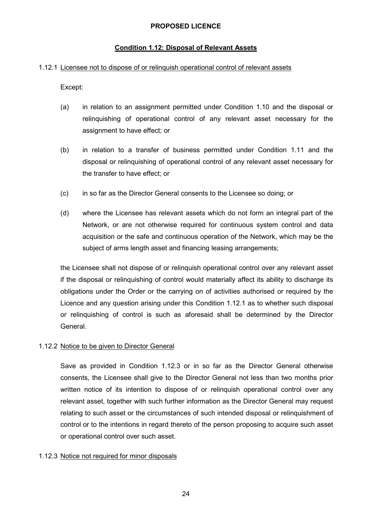### **Condition 1.12: Disposal of Relevant Assets**

#### 1.12.1 Licensee not to dispose of or relinquish operational control of relevant assets

Except:

- (a) in relation to an assignment permitted under Condition 1.10 and the disposal or relinquishing of operational control of any relevant asset necessary for the assignment to have effect; or
- (b) in relation to a transfer of business permitted under Condition 1.11 and the disposal or relinquishing of operational control of any relevant asset necessary for the transfer to have effect; or
- (c) in so far as the Director General consents to the Licensee so doing; or
- (d) where the Licensee has relevant assets which do not form an integral part of the Network, or are not otherwise required for continuous system control and data acquisition or the safe and continuous operation of the Network, which may be the subject of arms length asset and financing leasing arrangements;

the Licensee shall not dispose of or relinquish operational control over any relevant asset if the disposal or relinquishing of control would materially affect its ability to discharge its obligations under the Order or the carrying on of activities authorised or required by the Licence and any question arising under this Condition 1.12.1 as to whether such disposal or relinquishing of control is such as aforesaid shall be determined by the Director General.

#### 1.12.2 Notice to be given to Director General

Save as provided in Condition 1.12.3 or in so far as the Director General otherwise consents, the Licensee shall give to the Director General not less than two months prior written notice of its intention to dispose of or relinquish operational control over any relevant asset, together with such further information as the Director General may request relating to such asset or the circumstances of such intended disposal or relinquishment of control or to the intentions in regard thereto of the person proposing to acquire such asset or operational control over such asset.

#### 1.12.3 Notice not required for minor disposals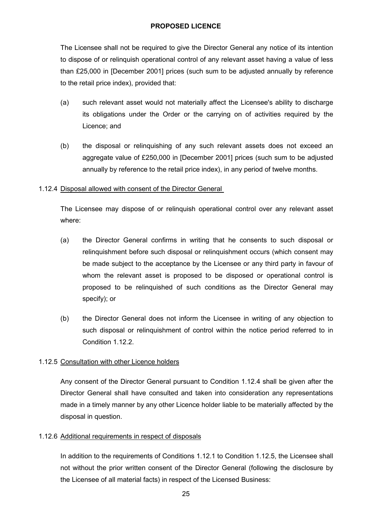The Licensee shall not be required to give the Director General any notice of its intention to dispose of or relinquish operational control of any relevant asset having a value of less than £25,000 in [December 2001] prices (such sum to be adjusted annually by reference to the retail price index), provided that:

- (a) such relevant asset would not materially affect the Licensee's ability to discharge its obligations under the Order or the carrying on of activities required by the Licence; and
- (b) the disposal or relinquishing of any such relevant assets does not exceed an aggregate value of £250,000 in [December 2001] prices (such sum to be adjusted annually by reference to the retail price index), in any period of twelve months.

### 1.12.4 Disposal allowed with consent of the Director General

The Licensee may dispose of or relinquish operational control over any relevant asset where:

- (a) the Director General confirms in writing that he consents to such disposal or relinquishment before such disposal or relinquishment occurs (which consent may be made subject to the acceptance by the Licensee or any third party in favour of whom the relevant asset is proposed to be disposed or operational control is proposed to be relinquished of such conditions as the Director General may specify); or
- (b) the Director General does not inform the Licensee in writing of any objection to such disposal or relinquishment of control within the notice period referred to in Condition 1.12.2.

### 1.12.5 Consultation with other Licence holders

Any consent of the Director General pursuant to Condition 1.12.4 shall be given after the Director General shall have consulted and taken into consideration any representations made in a timely manner by any other Licence holder liable to be materially affected by the disposal in question.

#### 1.12.6 Additional requirements in respect of disposals

In addition to the requirements of Conditions 1.12.1 to Condition 1.12.5, the Licensee shall not without the prior written consent of the Director General (following the disclosure by the Licensee of all material facts) in respect of the Licensed Business: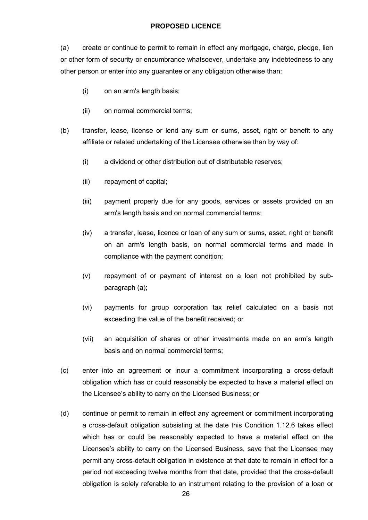(a) create or continue to permit to remain in effect any mortgage, charge, pledge, lien or other form of security or encumbrance whatsoever, undertake any indebtedness to any other person or enter into any guarantee or any obligation otherwise than:

- (i) on an arm's length basis;
- (ii) on normal commercial terms;
- (b) transfer, lease, license or lend any sum or sums, asset, right or benefit to any affiliate or related undertaking of the Licensee otherwise than by way of:
	- (i) a dividend or other distribution out of distributable reserves;
	- (ii) repayment of capital;
	- (iii) payment properly due for any goods, services or assets provided on an arm's length basis and on normal commercial terms;
	- (iv) a transfer, lease, licence or loan of any sum or sums, asset, right or benefit on an arm's length basis, on normal commercial terms and made in compliance with the payment condition;
	- (v) repayment of or payment of interest on a loan not prohibited by subparagraph (a);
	- (vi) payments for group corporation tax relief calculated on a basis not exceeding the value of the benefit received; or
	- (vii) an acquisition of shares or other investments made on an arm's length basis and on normal commercial terms;
- (c) enter into an agreement or incur a commitment incorporating a cross-default obligation which has or could reasonably be expected to have a material effect on the Licensee's ability to carry on the Licensed Business; or
- (d) continue or permit to remain in effect any agreement or commitment incorporating a cross-default obligation subsisting at the date this Condition 1.12.6 takes effect which has or could be reasonably expected to have a material effect on the Licensee's ability to carry on the Licensed Business, save that the Licensee may permit any cross-default obligation in existence at that date to remain in effect for a period not exceeding twelve months from that date, provided that the cross-default obligation is solely referable to an instrument relating to the provision of a loan or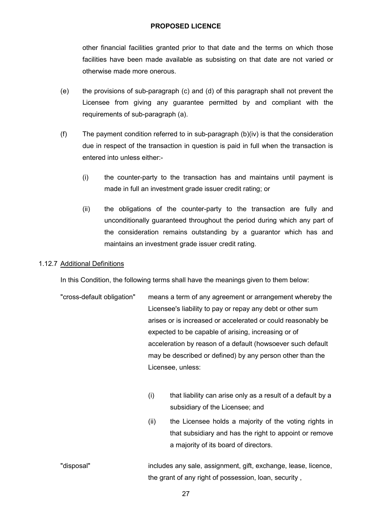other financial facilities granted prior to that date and the terms on which those facilities have been made available as subsisting on that date are not varied or otherwise made more onerous.

- (e) the provisions of sub-paragraph (c) and (d) of this paragraph shall not prevent the Licensee from giving any guarantee permitted by and compliant with the requirements of sub-paragraph (a).
- (f) The payment condition referred to in sub-paragraph (b)(iv) is that the consideration due in respect of the transaction in question is paid in full when the transaction is entered into unless either:-
	- (i) the counter-party to the transaction has and maintains until payment is made in full an investment grade issuer credit rating; or
	- (ii) the obligations of the counter-party to the transaction are fully and unconditionally guaranteed throughout the period during which any part of the consideration remains outstanding by a guarantor which has and maintains an investment grade issuer credit rating.

#### 1.12.7 Additional Definitions

In this Condition, the following terms shall have the meanings given to them below:

- "cross-default obligation" means a term of any agreement or arrangement whereby the Licensee's liability to pay or repay any debt or other sum arises or is increased or accelerated or could reasonably be expected to be capable of arising, increasing or of acceleration by reason of a default (howsoever such default may be described or defined) by any person other than the Licensee, unless:
	- (i) that liability can arise only as a result of a default by a subsidiary of the Licensee; and
	- (ii) the Licensee holds a majority of the voting rights in that subsidiary and has the right to appoint or remove a majority of its board of directors.
- "disposal" includes any sale, assignment, gift, exchange, lease, licence, the grant of any right of possession, loan, security ,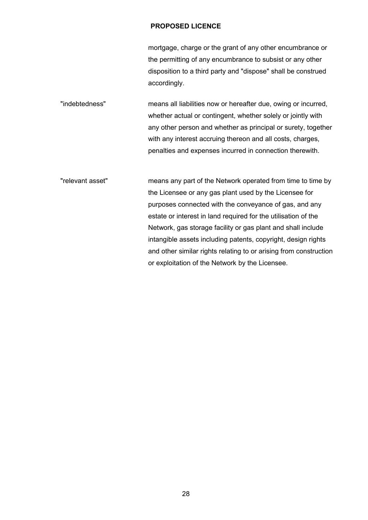mortgage, charge or the grant of any other encumbrance or the permitting of any encumbrance to subsist or any other disposition to a third party and "dispose" shall be construed accordingly.

"indebtedness" means all liabilities now or hereafter due, owing or incurred, whether actual or contingent, whether solely or jointly with any other person and whether as principal or surety, together with any interest accruing thereon and all costs, charges, penalties and expenses incurred in connection therewith.

"relevant asset" means any part of the Network operated from time to time by the Licensee or any gas plant used by the Licensee for purposes connected with the conveyance of gas, and any estate or interest in land required for the utilisation of the Network, gas storage facility or gas plant and shall include intangible assets including patents, copyright, design rights and other similar rights relating to or arising from construction or exploitation of the Network by the Licensee.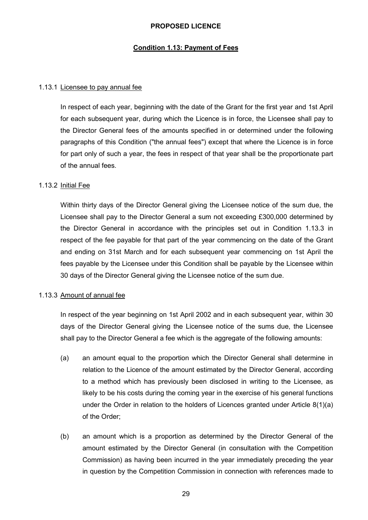### **Condition 1.13: Payment of Fees**

#### 1.13.1 Licensee to pay annual fee

In respect of each year, beginning with the date of the Grant for the first year and 1st April for each subsequent year, during which the Licence is in force, the Licensee shall pay to the Director General fees of the amounts specified in or determined under the following paragraphs of this Condition ("the annual fees") except that where the Licence is in force for part only of such a year, the fees in respect of that year shall be the proportionate part of the annual fees.

#### 1.13.2 Initial Fee

Within thirty days of the Director General giving the Licensee notice of the sum due, the Licensee shall pay to the Director General a sum not exceeding £300,000 determined by the Director General in accordance with the principles set out in Condition 1.13.3 in respect of the fee payable for that part of the year commencing on the date of the Grant and ending on 31st March and for each subsequent year commencing on 1st April the fees payable by the Licensee under this Condition shall be payable by the Licensee within 30 days of the Director General giving the Licensee notice of the sum due.

#### 1.13.3 Amount of annual fee

In respect of the year beginning on 1st April 2002 and in each subsequent year, within 30 days of the Director General giving the Licensee notice of the sums due, the Licensee shall pay to the Director General a fee which is the aggregate of the following amounts:

- (a) an amount equal to the proportion which the Director General shall determine in relation to the Licence of the amount estimated by the Director General, according to a method which has previously been disclosed in writing to the Licensee, as likely to be his costs during the coming year in the exercise of his general functions under the Order in relation to the holders of Licences granted under Article 8(1)(a) of the Order;
- (b) an amount which is a proportion as determined by the Director General of the amount estimated by the Director General (in consultation with the Competition Commission) as having been incurred in the year immediately preceding the year in question by the Competition Commission in connection with references made to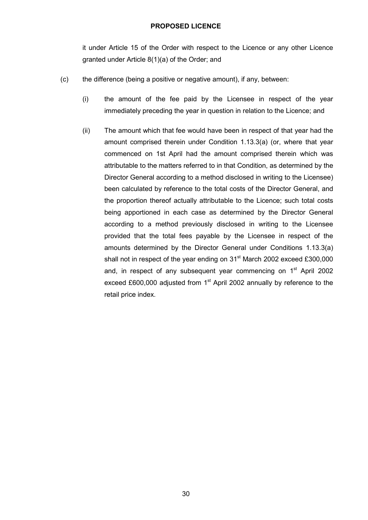it under Article 15 of the Order with respect to the Licence or any other Licence granted under Article 8(1)(a) of the Order; and

- (c) the difference (being a positive or negative amount), if any, between:
	- (i) the amount of the fee paid by the Licensee in respect of the year immediately preceding the year in question in relation to the Licence; and
	- (ii) The amount which that fee would have been in respect of that year had the amount comprised therein under Condition 1.13.3(a) (or, where that year commenced on 1st April had the amount comprised therein which was attributable to the matters referred to in that Condition, as determined by the Director General according to a method disclosed in writing to the Licensee) been calculated by reference to the total costs of the Director General, and the proportion thereof actually attributable to the Licence; such total costs being apportioned in each case as determined by the Director General according to a method previously disclosed in writing to the Licensee provided that the total fees payable by the Licensee in respect of the amounts determined by the Director General under Conditions 1.13.3(a) shall not in respect of the year ending on  $31<sup>st</sup>$  March 2002 exceed £300,000 and, in respect of any subsequent year commencing on  $1<sup>st</sup>$  April 2002 exceed £600,000 adjusted from  $1<sup>st</sup>$  April 2002 annually by reference to the retail price index.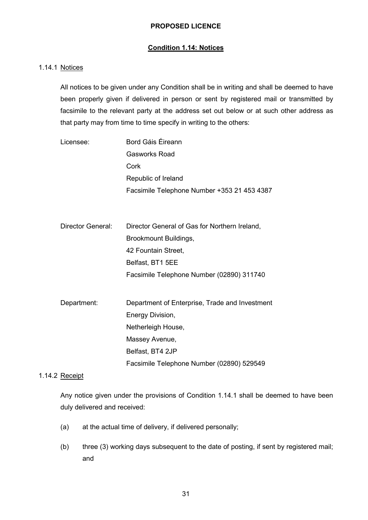### **Condition 1.14: Notices**

#### 1.14.1 Notices

All notices to be given under any Condition shall be in writing and shall be deemed to have been properly given if delivered in person or sent by registered mail or transmitted by facsimile to the relevant party at the address set out below or at such other address as that party may from time to time specify in writing to the others:

| Licensee: | Bord Gáis Éireann                           |
|-----------|---------------------------------------------|
|           | Gasworks Road                               |
|           | Cork                                        |
|           | Republic of Ireland                         |
|           | Facsimile Telephone Number +353 21 453 4387 |

| Director General: | Director General of Gas for Northern Ireland, |
|-------------------|-----------------------------------------------|
|                   | Brookmount Buildings,                         |
|                   | 42 Fountain Street,                           |
|                   | Belfast, BT1 5EE                              |
|                   | Facsimile Telephone Number (02890) 311740     |

| Department: | Department of Enterprise, Trade and Investment |
|-------------|------------------------------------------------|
|             | Energy Division,                               |
|             | Netherleigh House,                             |
|             | Massey Avenue,                                 |
|             | Belfast, BT4 2JP                               |
|             | Facsimile Telephone Number (02890) 529549      |

### 1.14.2 Receipt

Any notice given under the provisions of Condition 1.14.1 shall be deemed to have been duly delivered and received:

- (a) at the actual time of delivery, if delivered personally;
- (b) three (3) working days subsequent to the date of posting, if sent by registered mail; and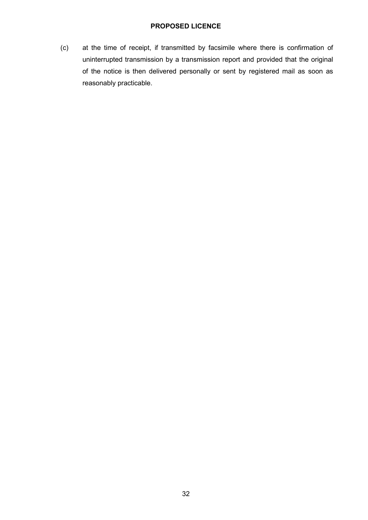(c) at the time of receipt, if transmitted by facsimile where there is confirmation of uninterrupted transmission by a transmission report and provided that the original of the notice is then delivered personally or sent by registered mail as soon as reasonably practicable.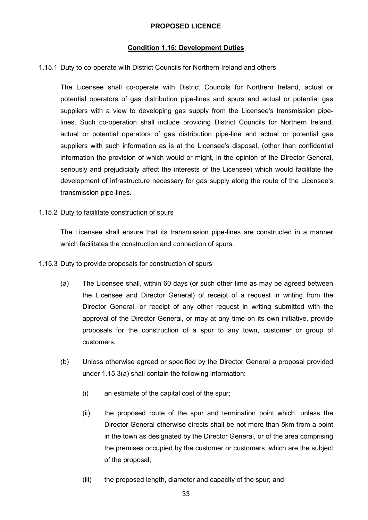### **Condition 1.15: Development Duties**

#### 1.15.1 Duty to co-operate with District Councils for Northern Ireland and others

The Licensee shall co-operate with District Councils for Northern Ireland, actual or potential operators of gas distribution pipe-lines and spurs and actual or potential gas suppliers with a view to developing gas supply from the Licensee's transmission pipelines. Such co-operation shall include providing District Councils for Northern Ireland, actual or potential operators of gas distribution pipe-line and actual or potential gas suppliers with such information as is at the Licensee's disposal, (other than confidential information the provision of which would or might, in the opinion of the Director General, seriously and prejudicially affect the interests of the Licensee) which would facilitate the development of infrastructure necessary for gas supply along the route of the Licensee's transmission pipe-lines.

#### 1.15.2 Duty to facilitate construction of spurs

The Licensee shall ensure that its transmission pipe-lines are constructed in a manner which facilitates the construction and connection of spurs.

#### 1.15.3 Duty to provide proposals for construction of spurs

- (a) The Licensee shall, within 60 days (or such other time as may be agreed between the Licensee and Director General) of receipt of a request in writing from the Director General, or receipt of any other request in writing submitted with the approval of the Director General, or may at any time on its own initiative, provide proposals for the construction of a spur to any town, customer or group of customers.
- (b) Unless otherwise agreed or specified by the Director General a proposal provided under 1.15.3(a) shall contain the following information:
	- (i) an estimate of the capital cost of the spur;
	- (ii) the proposed route of the spur and termination point which, unless the Director General otherwise directs shall be not more than 5km from a point in the town as designated by the Director General, or of the area comprising the premises occupied by the customer or customers, which are the subject of the proposal;
	- (iii) the proposed length, diameter and capacity of the spur; and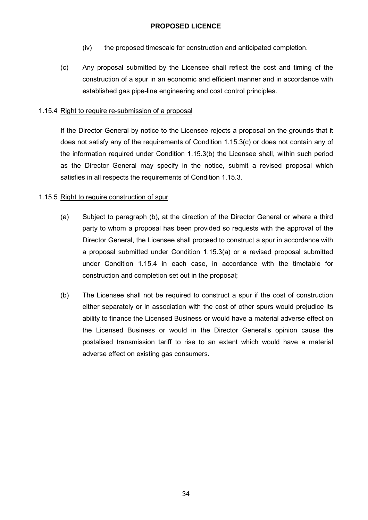- (iv) the proposed timescale for construction and anticipated completion.
- (c) Any proposal submitted by the Licensee shall reflect the cost and timing of the construction of a spur in an economic and efficient manner and in accordance with established gas pipe-line engineering and cost control principles.

### 1.15.4 Right to require re-submission of a proposal

If the Director General by notice to the Licensee rejects a proposal on the grounds that it does not satisfy any of the requirements of Condition 1.15.3(c) or does not contain any of the information required under Condition 1.15.3(b) the Licensee shall, within such period as the Director General may specify in the notice, submit a revised proposal which satisfies in all respects the requirements of Condition 1.15.3.

### 1.15.5 Right to require construction of spur

- (a) Subject to paragraph (b), at the direction of the Director General or where a third party to whom a proposal has been provided so requests with the approval of the Director General, the Licensee shall proceed to construct a spur in accordance with a proposal submitted under Condition 1.15.3(a) or a revised proposal submitted under Condition 1.15.4 in each case, in accordance with the timetable for construction and completion set out in the proposal;
- (b) The Licensee shall not be required to construct a spur if the cost of construction either separately or in association with the cost of other spurs would prejudice its ability to finance the Licensed Business or would have a material adverse effect on the Licensed Business or would in the Director General's opinion cause the postalised transmission tariff to rise to an extent which would have a material adverse effect on existing gas consumers.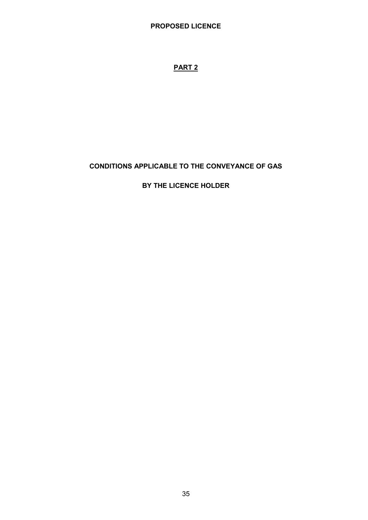# **PART 2**

# **CONDITIONS APPLICABLE TO THE CONVEYANCE OF GAS**

## **BY THE LICENCE HOLDER**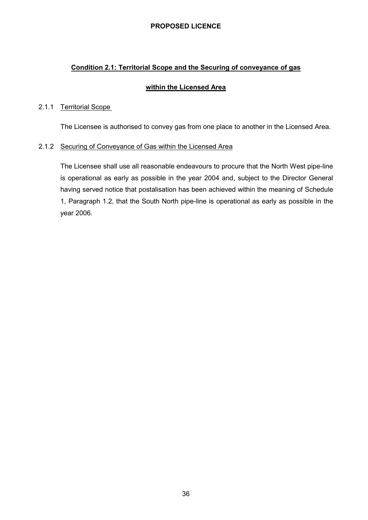### **Condition 2.1: Territorial Scope and the Securing of conveyance of gas**

#### **within the Licensed Area**

#### 2.1.1 Territorial Scope

The Licensee is authorised to convey gas from one place to another in the Licensed Area.

#### 2.1.2 Securing of Conveyance of Gas within the Licensed Area

The Licensee shall use all reasonable endeavours to procure that the North West pipe-line is operational as early as possible in the year 2004 and, subject to the Director General having served notice that postalisation has been achieved within the meaning of Schedule 1, Paragraph 1.2, that the South North pipe-line is operational as early as possible in the year 2006.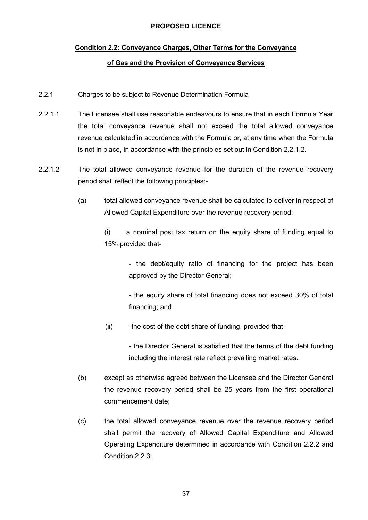# **Condition 2.2: Conveyance Charges, Other Terms for the Conveyance of Gas and the Provision of Conveyance Services**

#### 2.2.1 Charges to be subject to Revenue Determination Formula

- 2.2.1.1 The Licensee shall use reasonable endeavours to ensure that in each Formula Year the total conveyance revenue shall not exceed the total allowed conveyance revenue calculated in accordance with the Formula or, at any time when the Formula is not in place, in accordance with the principles set out in Condition 2.2.1.2.
- 2.2.1.2 The total allowed conveyance revenue for the duration of the revenue recovery period shall reflect the following principles:-
	- (a) total allowed conveyance revenue shall be calculated to deliver in respect of Allowed Capital Expenditure over the revenue recovery period:

(i) a nominal post tax return on the equity share of funding equal to 15% provided that-

> - the debt/equity ratio of financing for the project has been approved by the Director General;

> - the equity share of total financing does not exceed 30% of total financing; and

(ii) -the cost of the debt share of funding, provided that:

- the Director General is satisfied that the terms of the debt funding including the interest rate reflect prevailing market rates.

- (b) except as otherwise agreed between the Licensee and the Director General the revenue recovery period shall be 25 years from the first operational commencement date;
- (c) the total allowed conveyance revenue over the revenue recovery period shall permit the recovery of Allowed Capital Expenditure and Allowed Operating Expenditure determined in accordance with Condition 2.2.2 and Condition 2.2.3;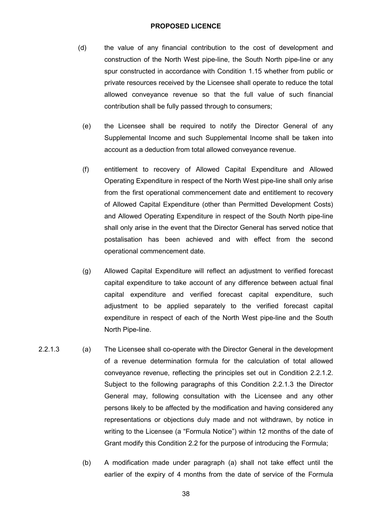- (d) the value of any financial contribution to the cost of development and construction of the North West pipe-line, the South North pipe-line or any spur constructed in accordance with Condition 1.15 whether from public or private resources received by the Licensee shall operate to reduce the total allowed conveyance revenue so that the full value of such financial contribution shall be fully passed through to consumers;
	- (e) the Licensee shall be required to notify the Director General of any Supplemental Income and such Supplemental Income shall be taken into account as a deduction from total allowed conveyance revenue.
	- (f) entitlement to recovery of Allowed Capital Expenditure and Allowed Operating Expenditure in respect of the North West pipe-line shall only arise from the first operational commencement date and entitlement to recovery of Allowed Capital Expenditure (other than Permitted Development Costs) and Allowed Operating Expenditure in respect of the South North pipe-line shall only arise in the event that the Director General has served notice that postalisation has been achieved and with effect from the second operational commencement date.
	- (g) Allowed Capital Expenditure will reflect an adjustment to verified forecast capital expenditure to take account of any difference between actual final capital expenditure and verified forecast capital expenditure, such adjustment to be applied separately to the verified forecast capital expenditure in respect of each of the North West pipe-line and the South North Pipe-line.
- 2.2.1.3 (a) The Licensee shall co-operate with the Director General in the development of a revenue determination formula for the calculation of total allowed conveyance revenue, reflecting the principles set out in Condition 2.2.1.2. Subject to the following paragraphs of this Condition 2.2.1.3 the Director General may, following consultation with the Licensee and any other persons likely to be affected by the modification and having considered any representations or objections duly made and not withdrawn, by notice in writing to the Licensee (a "Formula Notice") within 12 months of the date of Grant modify this Condition 2.2 for the purpose of introducing the Formula;
	- (b) A modification made under paragraph (a) shall not take effect until the earlier of the expiry of 4 months from the date of service of the Formula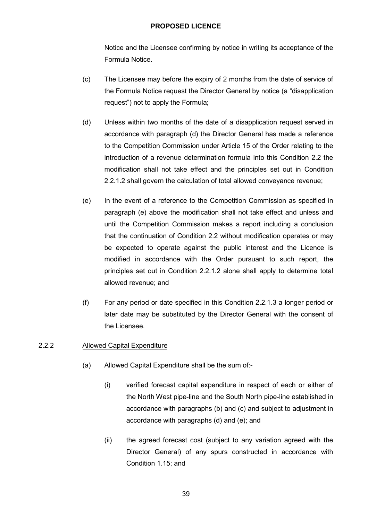Notice and the Licensee confirming by notice in writing its acceptance of the Formula Notice.

- (c) The Licensee may before the expiry of 2 months from the date of service of the Formula Notice request the Director General by notice (a "disapplication request") not to apply the Formula;
- (d) Unless within two months of the date of a disapplication request served in accordance with paragraph (d) the Director General has made a reference to the Competition Commission under Article 15 of the Order relating to the introduction of a revenue determination formula into this Condition 2.2 the modification shall not take effect and the principles set out in Condition 2.2.1.2 shall govern the calculation of total allowed conveyance revenue;
- (e) In the event of a reference to the Competition Commission as specified in paragraph (e) above the modification shall not take effect and unless and until the Competition Commission makes a report including a conclusion that the continuation of Condition 2.2 without modification operates or may be expected to operate against the public interest and the Licence is modified in accordance with the Order pursuant to such report, the principles set out in Condition 2.2.1.2 alone shall apply to determine total allowed revenue; and
- (f) For any period or date specified in this Condition 2.2.1.3 a longer period or later date may be substituted by the Director General with the consent of the Licensee.

## 2.2.2 Allowed Capital Expenditure

- (a) Allowed Capital Expenditure shall be the sum of:-
	- (i) verified forecast capital expenditure in respect of each or either of the North West pipe-line and the South North pipe-line established in accordance with paragraphs (b) and (c) and subject to adjustment in accordance with paragraphs (d) and (e); and
	- (ii) the agreed forecast cost (subject to any variation agreed with the Director General) of any spurs constructed in accordance with Condition 1.15; and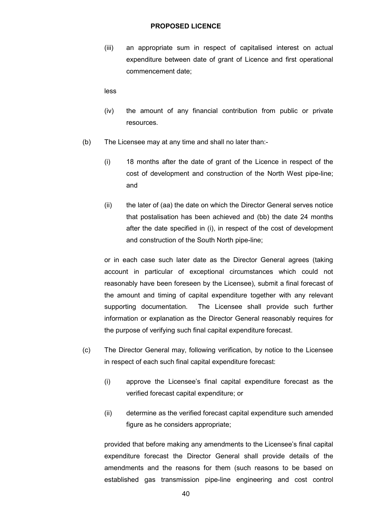(iii) an appropriate sum in respect of capitalised interest on actual expenditure between date of grant of Licence and first operational commencement date;

less

- (iv) the amount of any financial contribution from public or private resources.
- (b) The Licensee may at any time and shall no later than:-
	- (i) 18 months after the date of grant of the Licence in respect of the cost of development and construction of the North West pipe-line; and
	- (ii) the later of (aa) the date on which the Director General serves notice that postalisation has been achieved and (bb) the date 24 months after the date specified in (i), in respect of the cost of development and construction of the South North pipe-line;

or in each case such later date as the Director General agrees (taking account in particular of exceptional circumstances which could not reasonably have been foreseen by the Licensee), submit a final forecast of the amount and timing of capital expenditure together with any relevant supporting documentation. The Licensee shall provide such further information or explanation as the Director General reasonably requires for the purpose of verifying such final capital expenditure forecast.

- (c) The Director General may, following verification, by notice to the Licensee in respect of each such final capital expenditure forecast:
	- (i) approve the Licensee's final capital expenditure forecast as the verified forecast capital expenditure; or
	- (ii) determine as the verified forecast capital expenditure such amended figure as he considers appropriate;

provided that before making any amendments to the Licensee's final capital expenditure forecast the Director General shall provide details of the amendments and the reasons for them (such reasons to be based on established gas transmission pipe-line engineering and cost control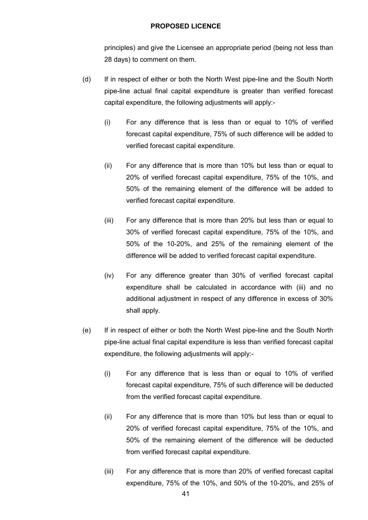principles) and give the Licensee an appropriate period (being not less than 28 days) to comment on them.

- (d) If in respect of either or both the North West pipe-line and the South North pipe-line actual final capital expenditure is greater than verified forecast capital expenditure, the following adjustments will apply:-
	- (i) For any difference that is less than or equal to 10% of verified forecast capital expenditure, 75% of such difference will be added to verified forecast capital expenditure.
	- (ii) For any difference that is more than 10% but less than or equal to 20% of verified forecast capital expenditure, 75% of the 10%, and 50% of the remaining element of the difference will be added to verified forecast capital expenditure.
	- (iii) For any difference that is more than 20% but less than or equal to 30% of verified forecast capital expenditure, 75% of the 10%, and 50% of the 10-20%, and 25% of the remaining element of the difference will be added to verified forecast capital expenditure.
	- (iv) For any difference greater than 30% of verified forecast capital expenditure shall be calculated in accordance with (iii) and no additional adjustment in respect of any difference in excess of 30% shall apply.
- (e) If in respect of either or both the North West pipe-line and the South North pipe-line actual final capital expenditure is less than verified forecast capital expenditure, the following adjustments will apply:-
	- (i) For any difference that is less than or equal to 10% of verified forecast capital expenditure, 75% of such difference will be deducted from the verified forecast capital expenditure.
	- (ii) For any difference that is more than 10% but less than or equal to 20% of verified forecast capital expenditure, 75% of the 10%, and 50% of the remaining element of the difference will be deducted from verified forecast capital expenditure.
	- (iii) For any difference that is more than 20% of verified forecast capital expenditure, 75% of the 10%, and 50% of the 10-20%, and 25% of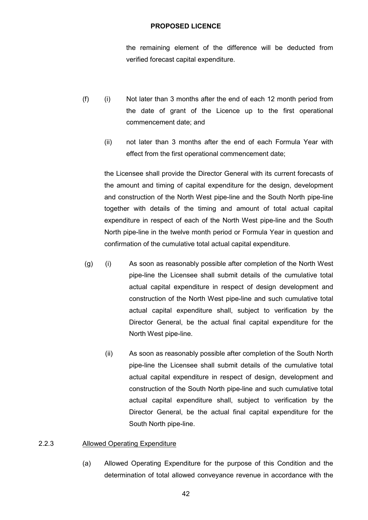the remaining element of the difference will be deducted from verified forecast capital expenditure.

- (f) (i) Not later than 3 months after the end of each 12 month period from the date of grant of the Licence up to the first operational commencement date; and
	- (ii) not later than 3 months after the end of each Formula Year with effect from the first operational commencement date;

the Licensee shall provide the Director General with its current forecasts of the amount and timing of capital expenditure for the design, development and construction of the North West pipe-line and the South North pipe-line together with details of the timing and amount of total actual capital expenditure in respect of each of the North West pipe-line and the South North pipe-line in the twelve month period or Formula Year in question and confirmation of the cumulative total actual capital expenditure.

- (g) (i) As soon as reasonably possible after completion of the North West pipe-line the Licensee shall submit details of the cumulative total actual capital expenditure in respect of design development and construction of the North West pipe-line and such cumulative total actual capital expenditure shall, subject to verification by the Director General, be the actual final capital expenditure for the North West pipe-line.
	- (ii) As soon as reasonably possible after completion of the South North pipe-line the Licensee shall submit details of the cumulative total actual capital expenditure in respect of design, development and construction of the South North pipe-line and such cumulative total actual capital expenditure shall, subject to verification by the Director General, be the actual final capital expenditure for the South North pipe-line.

#### 2.2.3 Allowed Operating Expenditure

(a) Allowed Operating Expenditure for the purpose of this Condition and the determination of total allowed conveyance revenue in accordance with the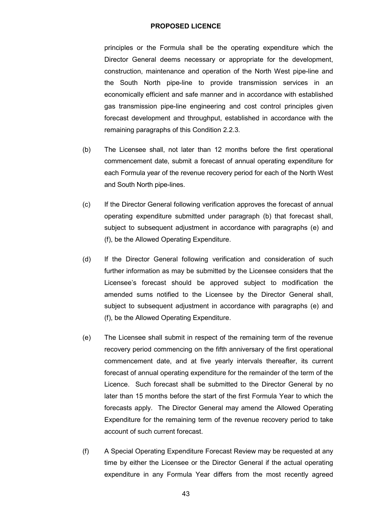principles or the Formula shall be the operating expenditure which the Director General deems necessary or appropriate for the development, construction, maintenance and operation of the North West pipe-line and the South North pipe-line to provide transmission services in an economically efficient and safe manner and in accordance with established gas transmission pipe-line engineering and cost control principles given forecast development and throughput, established in accordance with the remaining paragraphs of this Condition 2.2.3.

- (b) The Licensee shall, not later than 12 months before the first operational commencement date, submit a forecast of annual operating expenditure for each Formula year of the revenue recovery period for each of the North West and South North pipe-lines.
- (c) If the Director General following verification approves the forecast of annual operating expenditure submitted under paragraph (b) that forecast shall, subject to subsequent adjustment in accordance with paragraphs (e) and (f), be the Allowed Operating Expenditure.
- (d) If the Director General following verification and consideration of such further information as may be submitted by the Licensee considers that the Licensee's forecast should be approved subject to modification the amended sums notified to the Licensee by the Director General shall, subject to subsequent adjustment in accordance with paragraphs (e) and (f), be the Allowed Operating Expenditure.
- (e) The Licensee shall submit in respect of the remaining term of the revenue recovery period commencing on the fifth anniversary of the first operational commencement date, and at five yearly intervals thereafter, its current forecast of annual operating expenditure for the remainder of the term of the Licence. Such forecast shall be submitted to the Director General by no later than 15 months before the start of the first Formula Year to which the forecasts apply. The Director General may amend the Allowed Operating Expenditure for the remaining term of the revenue recovery period to take account of such current forecast.
- (f) A Special Operating Expenditure Forecast Review may be requested at any time by either the Licensee or the Director General if the actual operating expenditure in any Formula Year differs from the most recently agreed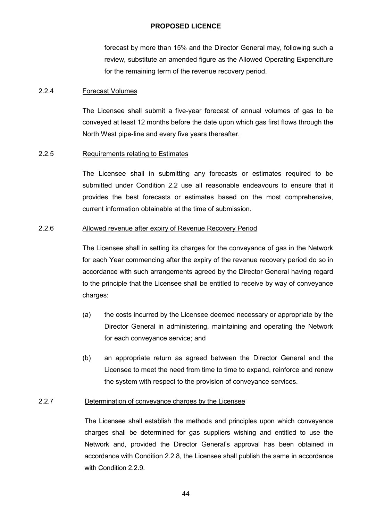forecast by more than 15% and the Director General may, following such a review, substitute an amended figure as the Allowed Operating Expenditure for the remaining term of the revenue recovery period.

#### 2.2.4 Forecast Volumes

The Licensee shall submit a five-year forecast of annual volumes of gas to be conveyed at least 12 months before the date upon which gas first flows through the North West pipe-line and every five years thereafter.

#### 2.2.5 Requirements relating to Estimates

The Licensee shall in submitting any forecasts or estimates required to be submitted under Condition 2.2 use all reasonable endeavours to ensure that it provides the best forecasts or estimates based on the most comprehensive, current information obtainable at the time of submission.

#### 2.2.6 Allowed revenue after expiry of Revenue Recovery Period

The Licensee shall in setting its charges for the conveyance of gas in the Network for each Year commencing after the expiry of the revenue recovery period do so in accordance with such arrangements agreed by the Director General having regard to the principle that the Licensee shall be entitled to receive by way of conveyance charges:

- (a) the costs incurred by the Licensee deemed necessary or appropriate by the Director General in administering, maintaining and operating the Network for each conveyance service; and
- (b) an appropriate return as agreed between the Director General and the Licensee to meet the need from time to time to expand, reinforce and renew the system with respect to the provision of conveyance services.

#### 2.2.7 Determination of conveyance charges by the Licensee

The Licensee shall establish the methods and principles upon which conveyance charges shall be determined for gas suppliers wishing and entitled to use the Network and, provided the Director General's approval has been obtained in accordance with Condition 2.2.8, the Licensee shall publish the same in accordance with Condition 2.2.9.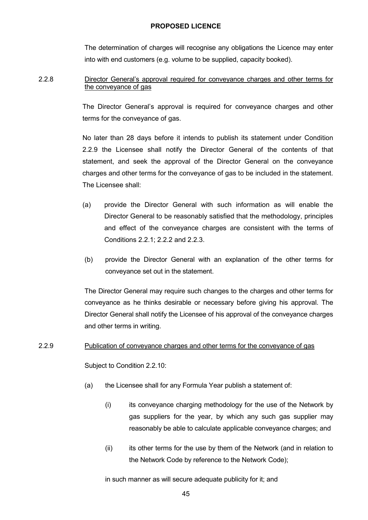The determination of charges will recognise any obligations the Licence may enter into with end customers (e.g. volume to be supplied, capacity booked).

### 2.2.8 Director General's approval required for conveyance charges and other terms for the conveyance of gas

The Director General's approval is required for conveyance charges and other terms for the conveyance of gas.

No later than 28 days before it intends to publish its statement under Condition 2.2.9 the Licensee shall notify the Director General of the contents of that statement, and seek the approval of the Director General on the conveyance charges and other terms for the conveyance of gas to be included in the statement. The Licensee shall:

- (a) provide the Director General with such information as will enable the Director General to be reasonably satisfied that the methodology, principles and effect of the conveyance charges are consistent with the terms of Conditions 2.2.1; 2.2.2 and 2.2.3.
- (b) provide the Director General with an explanation of the other terms for conveyance set out in the statement.

The Director General may require such changes to the charges and other terms for conveyance as he thinks desirable or necessary before giving his approval. The Director General shall notify the Licensee of his approval of the conveyance charges and other terms in writing.

#### 2.2.9 Publication of conveyance charges and other terms for the conveyance of gas

Subject to Condition 2.2.10:

- (a) the Licensee shall for any Formula Year publish a statement of:
	- (i) its conveyance charging methodology for the use of the Network by gas suppliers for the year, by which any such gas supplier may reasonably be able to calculate applicable conveyance charges; and
	- (ii) its other terms for the use by them of the Network (and in relation to the Network Code by reference to the Network Code);

in such manner as will secure adequate publicity for it; and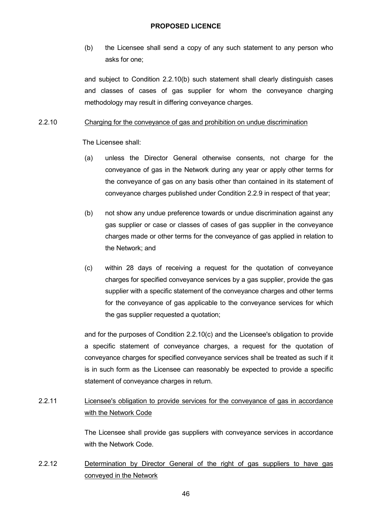(b) the Licensee shall send a copy of any such statement to any person who asks for one;

and subject to Condition 2.2.10(b) such statement shall clearly distinguish cases and classes of cases of gas supplier for whom the conveyance charging methodology may result in differing conveyance charges.

#### 2.2.10 Charging for the conveyance of gas and prohibition on undue discrimination

The Licensee shall:

- (a) unless the Director General otherwise consents, not charge for the conveyance of gas in the Network during any year or apply other terms for the conveyance of gas on any basis other than contained in its statement of conveyance charges published under Condition 2.2.9 in respect of that year;
- (b) not show any undue preference towards or undue discrimination against any gas supplier or case or classes of cases of gas supplier in the conveyance charges made or other terms for the conveyance of gas applied in relation to the Network; and
- (c) within 28 days of receiving a request for the quotation of conveyance charges for specified conveyance services by a gas supplier, provide the gas supplier with a specific statement of the conveyance charges and other terms for the conveyance of gas applicable to the conveyance services for which the gas supplier requested a quotation;

and for the purposes of Condition 2.2.10(c) and the Licensee's obligation to provide a specific statement of conveyance charges, a request for the quotation of conveyance charges for specified conveyance services shall be treated as such if it is in such form as the Licensee can reasonably be expected to provide a specific statement of conveyance charges in return.

# 2.2.11 Licensee's obligation to provide services for the conveyance of gas in accordance with the Network Code

The Licensee shall provide gas suppliers with conveyance services in accordance with the Network Code.

2.2.12 Determination by Director General of the right of gas suppliers to have gas conveyed in the Network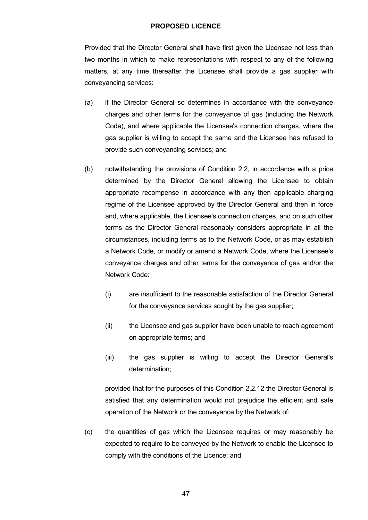Provided that the Director General shall have first given the Licensee not less than two months in which to make representations with respect to any of the following matters, at any time thereafter the Licensee shall provide a gas supplier with conveyancing services:

- (a) if the Director General so determines in accordance with the conveyance charges and other terms for the conveyance of gas (including the Network Code), and where applicable the Licensee's connection charges, where the gas supplier is willing to accept the same and the Licensee has refused to provide such conveyancing services; and
- (b) notwithstanding the provisions of Condition 2.2, in accordance with a price determined by the Director General allowing the Licensee to obtain appropriate recompense in accordance with any then applicable charging regime of the Licensee approved by the Director General and then in force and, where applicable, the Licensee's connection charges, and on such other terms as the Director General reasonably considers appropriate in all the circumstances, including terms as to the Network Code, or as may establish a Network Code, or modify or amend a Network Code, where the Licensee's conveyance charges and other terms for the conveyance of gas and/or the Network Code:
	- (i) are insufficient to the reasonable satisfaction of the Director General for the conveyance services sought by the gas supplier;
	- (ii) the Licensee and gas supplier have been unable to reach agreement on appropriate terms; and
	- (iii) the gas supplier is willing to accept the Director General's determination;

provided that for the purposes of this Condition 2.2.12 the Director General is satisfied that any determination would not prejudice the efficient and safe operation of the Network or the conveyance by the Network of:

(c) the quantities of gas which the Licensee requires or may reasonably be expected to require to be conveyed by the Network to enable the Licensee to comply with the conditions of the Licence; and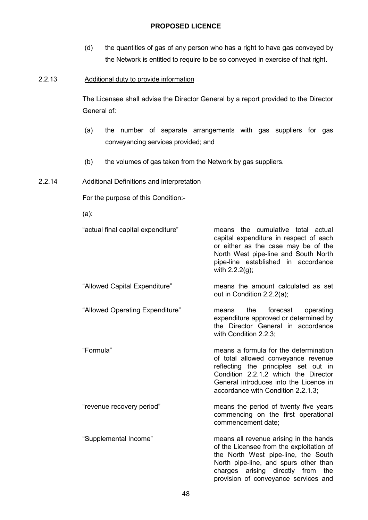(d) the quantities of gas of any person who has a right to have gas conveyed by the Network is entitled to require to be so conveyed in exercise of that right.

### 2.2.13 Additional duty to provide information

The Licensee shall advise the Director General by a report provided to the Director General of:

- (a) the number of separate arrangements with gas suppliers for gas conveyancing services provided; and
- (b) the volumes of gas taken from the Network by gas suppliers.

### 2.2.14 Additional Definitions and interpretation

For the purpose of this Condition:-

(a):

"actual final capital expenditure" means the cumulative total actual

- capital expenditure in respect of each or either as the case may be of the North West pipe-line and South North pipe-line established in accordance with 2.2.2(g); "Allowed Capital Expenditure" means the amount calculated as set out in Condition 2.2.2(a);
- "Allowed Operating Expenditure" means the forecast operating expenditure approved or determined by the Director General in accordance with Condition 2.2.3:

"Formula" means a formula for the determination of total allowed conveyance revenue reflecting the principles set out in Condition 2.2.1.2 which the Director General introduces into the Licence in accordance with Condition 2.2.1.3;

"revenue recovery period" means the period of twenty five years commencing on the first operational commencement date;

"Supplemental Income" means all revenue arising in the hands of the Licensee from the exploitation of the North West pipe-line, the South North pipe-line, and spurs other than charges arising directly from the provision of conveyance services and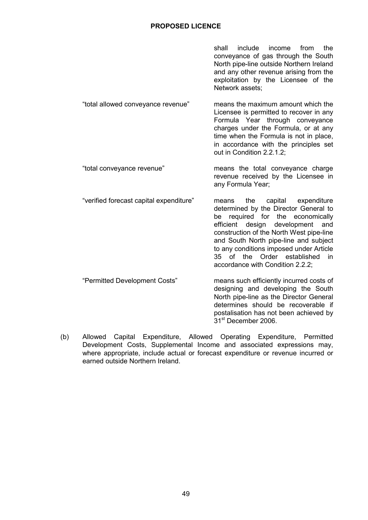shall include income from the conveyance of gas through the South North pipe-line outside Northern Ireland and any other revenue arising from the exploitation by the Licensee of the Network assets;

- "total allowed conveyance revenue" means the maximum amount which the Licensee is permitted to recover in any Formula Year through conveyance charges under the Formula, or at any time when the Formula is not in place, in accordance with the principles set out in Condition 2.2.1.2;
- "total conveyance revenue" means the total conveyance charge revenue received by the Licensee in any Formula Year;
- "verified forecast capital expenditure" means the capital expenditure determined by the Director General to be required for the economically efficient design development and construction of the North West pipe-line and South North pipe-line and subject to any conditions imposed under Article 35 of the Order established in accordance with Condition 2.2.2; "Permitted Development Costs" means such efficiently incurred costs of
- designing and developing the South North pipe-line as the Director General determines should be recoverable if postalisation has not been achieved by 31<sup>st</sup> December 2006.
- (b) Allowed Capital Expenditure, Allowed Operating Expenditure, Permitted Development Costs, Supplemental Income and associated expressions may, where appropriate, include actual or forecast expenditure or revenue incurred or earned outside Northern Ireland.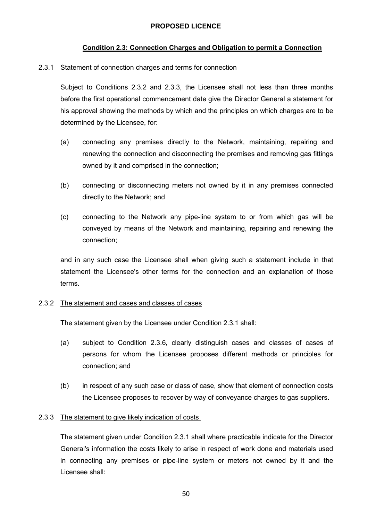## **Condition 2.3: Connection Charges and Obligation to permit a Connection**

#### 2.3.1 Statement of connection charges and terms for connection

Subject to Conditions 2.3.2 and 2.3.3, the Licensee shall not less than three months before the first operational commencement date give the Director General a statement for his approval showing the methods by which and the principles on which charges are to be determined by the Licensee, for:

- (a) connecting any premises directly to the Network, maintaining, repairing and renewing the connection and disconnecting the premises and removing gas fittings owned by it and comprised in the connection;
- (b) connecting or disconnecting meters not owned by it in any premises connected directly to the Network; and
- (c) connecting to the Network any pipe-line system to or from which gas will be conveyed by means of the Network and maintaining, repairing and renewing the connection;

and in any such case the Licensee shall when giving such a statement include in that statement the Licensee's other terms for the connection and an explanation of those terms.

#### 2.3.2 The statement and cases and classes of cases

The statement given by the Licensee under Condition 2.3.1 shall:

- (a) subject to Condition 2.3.6, clearly distinguish cases and classes of cases of persons for whom the Licensee proposes different methods or principles for connection; and
- (b) in respect of any such case or class of case, show that element of connection costs the Licensee proposes to recover by way of conveyance charges to gas suppliers.

#### 2.3.3 The statement to give likely indication of costs

The statement given under Condition 2.3.1 shall where practicable indicate for the Director General's information the costs likely to arise in respect of work done and materials used in connecting any premises or pipe-line system or meters not owned by it and the Licensee shall: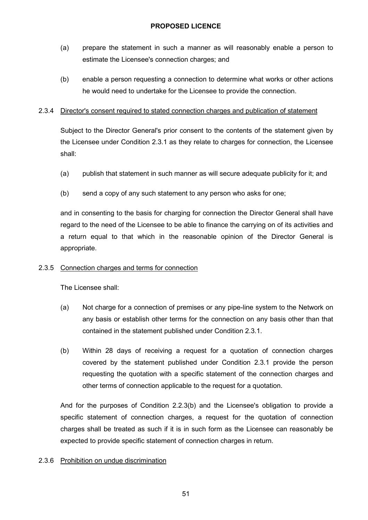- (a) prepare the statement in such a manner as will reasonably enable a person to estimate the Licensee's connection charges; and
- (b) enable a person requesting a connection to determine what works or other actions he would need to undertake for the Licensee to provide the connection.

### 2.3.4 Director's consent required to stated connection charges and publication of statement

Subject to the Director General's prior consent to the contents of the statement given by the Licensee under Condition 2.3.1 as they relate to charges for connection, the Licensee shall:

- (a) publish that statement in such manner as will secure adequate publicity for it; and
- (b) send a copy of any such statement to any person who asks for one;

and in consenting to the basis for charging for connection the Director General shall have regard to the need of the Licensee to be able to finance the carrying on of its activities and a return equal to that which in the reasonable opinion of the Director General is appropriate.

## 2.3.5 Connection charges and terms for connection

The Licensee shall:

- (a) Not charge for a connection of premises or any pipe-line system to the Network on any basis or establish other terms for the connection on any basis other than that contained in the statement published under Condition 2.3.1.
- (b) Within 28 days of receiving a request for a quotation of connection charges covered by the statement published under Condition 2.3.1 provide the person requesting the quotation with a specific statement of the connection charges and other terms of connection applicable to the request for a quotation.

And for the purposes of Condition 2.2.3(b) and the Licensee's obligation to provide a specific statement of connection charges, a request for the quotation of connection charges shall be treated as such if it is in such form as the Licensee can reasonably be expected to provide specific statement of connection charges in return.

## 2.3.6 Prohibition on undue discrimination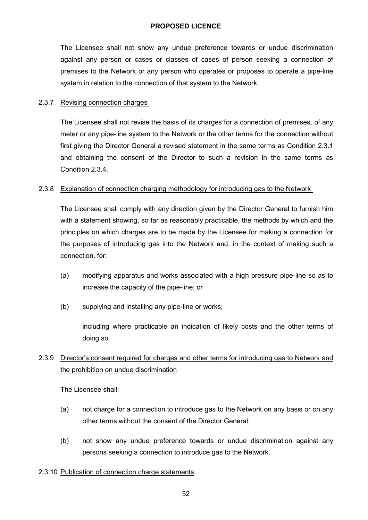The Licensee shall not show any undue preference towards or undue discrimination against any person or cases or classes of cases of person seeking a connection of premises to the Network or any person who operates or proposes to operate a pipe-line system in relation to the connection of that system to the Network.

#### 2.3.7 Revising connection charges

The Licensee shall not revise the basis of its charges for a connection of premises, of any meter or any pipe-line system to the Network or the other terms for the connection without first giving the Director General a revised statement in the same terms as Condition 2.3.1 and obtaining the consent of the Director to such a revision in the same terms as Condition 2.3.4.

#### 2.3.8 Explanation of connection charging methodology for introducing gas to the Network

The Licensee shall comply with any direction given by the Director General to furnish him with a statement showing, so far as reasonably practicable, the methods by which and the principles on which charges are to be made by the Licensee for making a connection for the purposes of introducing gas into the Network and, in the context of making such a connection, for:

- (a) modifying apparatus and works associated with a high pressure pipe-line so as to increase the capacity of the pipe-line; or
- (b) supplying and installing any pipe-line or works;

including where practicable an indication of likely costs and the other terms of doing so.

# 2.3.9 Director's consent required for charges and other terms for introducing gas to Network and the prohibition on undue discrimination

The Licensee shall:

- (a) not charge for a connection to introduce gas to the Network on any basis or on any other terms without the consent of the Director General;
- (b) not show any undue preference towards or undue discrimination against any persons seeking a connection to introduce gas to the Network.

## 2.3.10 Publication of connection charge statements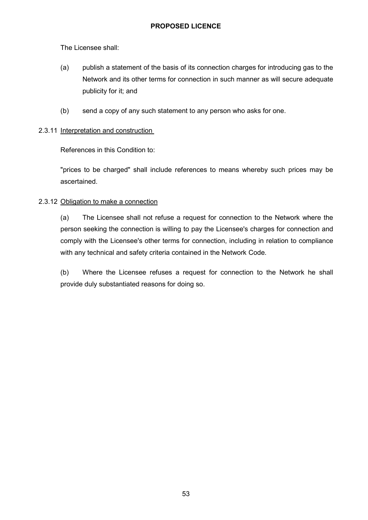The Licensee shall:

- (a) publish a statement of the basis of its connection charges for introducing gas to the Network and its other terms for connection in such manner as will secure adequate publicity for it; and
- (b) send a copy of any such statement to any person who asks for one.

### 2.3.11 Interpretation and construction

References in this Condition to:

"prices to be charged" shall include references to means whereby such prices may be ascertained.

## 2.3.12 Obligation to make a connection

(a) The Licensee shall not refuse a request for connection to the Network where the person seeking the connection is willing to pay the Licensee's charges for connection and comply with the Licensee's other terms for connection, including in relation to compliance with any technical and safety criteria contained in the Network Code.

(b) Where the Licensee refuses a request for connection to the Network he shall provide duly substantiated reasons for doing so.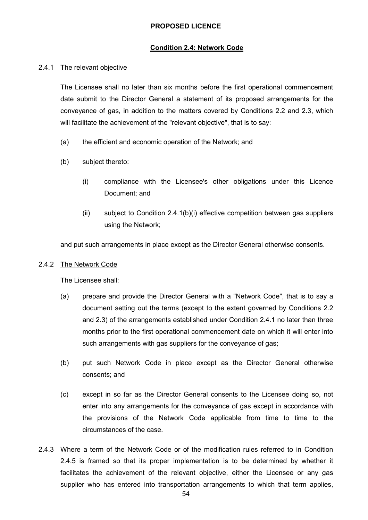#### **Condition 2.4: Network Code**

#### 2.4.1 The relevant objective

The Licensee shall no later than six months before the first operational commencement date submit to the Director General a statement of its proposed arrangements for the conveyance of gas, in addition to the matters covered by Conditions 2.2 and 2.3, which will facilitate the achievement of the "relevant objective", that is to say:

- (a) the efficient and economic operation of the Network; and
- (b) subject thereto:
	- (i) compliance with the Licensee's other obligations under this Licence Document; and
	- (ii) subject to Condition 2.4.1(b)(i) effective competition between gas suppliers using the Network;

and put such arrangements in place except as the Director General otherwise consents.

#### 2.4.2 The Network Code

The Licensee shall:

- (a) prepare and provide the Director General with a "Network Code", that is to say a document setting out the terms (except to the extent governed by Conditions 2.2 and 2.3) of the arrangements established under Condition 2.4.1 no later than three months prior to the first operational commencement date on which it will enter into such arrangements with gas suppliers for the conveyance of gas;
- (b) put such Network Code in place except as the Director General otherwise consents; and
- (c) except in so far as the Director General consents to the Licensee doing so, not enter into any arrangements for the conveyance of gas except in accordance with the provisions of the Network Code applicable from time to time to the circumstances of the case.
- 2.4.3 Where a term of the Network Code or of the modification rules referred to in Condition 2.4.5 is framed so that its proper implementation is to be determined by whether it facilitates the achievement of the relevant objective, either the Licensee or any gas supplier who has entered into transportation arrangements to which that term applies,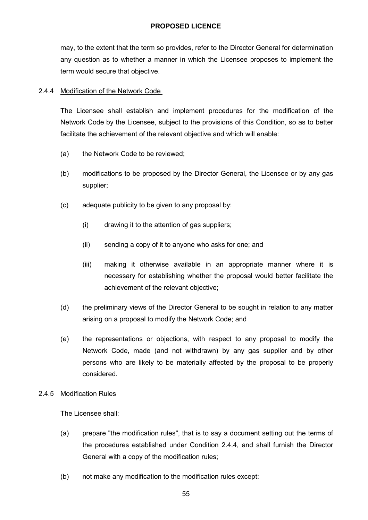may, to the extent that the term so provides, refer to the Director General for determination any question as to whether a manner in which the Licensee proposes to implement the term would secure that objective.

### 2.4.4 Modification of the Network Code

The Licensee shall establish and implement procedures for the modification of the Network Code by the Licensee, subject to the provisions of this Condition, so as to better facilitate the achievement of the relevant objective and which will enable:

- (a) the Network Code to be reviewed;
- (b) modifications to be proposed by the Director General, the Licensee or by any gas supplier;
- (c) adequate publicity to be given to any proposal by:
	- (i) drawing it to the attention of gas suppliers;
	- (ii) sending a copy of it to anyone who asks for one; and
	- (iii) making it otherwise available in an appropriate manner where it is necessary for establishing whether the proposal would better facilitate the achievement of the relevant objective;
- (d) the preliminary views of the Director General to be sought in relation to any matter arising on a proposal to modify the Network Code; and
- (e) the representations or objections, with respect to any proposal to modify the Network Code, made (and not withdrawn) by any gas supplier and by other persons who are likely to be materially affected by the proposal to be properly considered.

#### 2.4.5 Modification Rules

The Licensee shall:

- (a) prepare "the modification rules", that is to say a document setting out the terms of the procedures established under Condition 2.4.4, and shall furnish the Director General with a copy of the modification rules;
- (b) not make any modification to the modification rules except: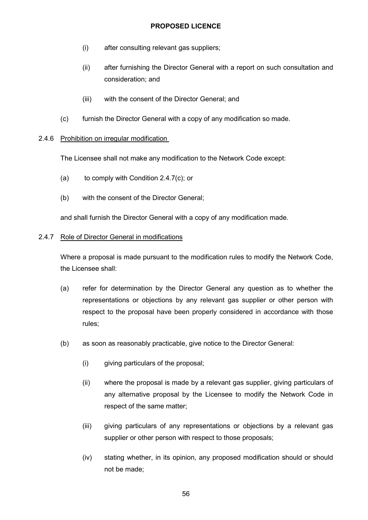- (i) after consulting relevant gas suppliers;
- (ii) after furnishing the Director General with a report on such consultation and consideration; and
- (iii) with the consent of the Director General; and
- (c) furnish the Director General with a copy of any modification so made.

### 2.4.6 Prohibition on irregular modification

The Licensee shall not make any modification to the Network Code except:

- (a) to comply with Condition 2.4.7(c); or
- (b) with the consent of the Director General;

and shall furnish the Director General with a copy of any modification made.

#### 2.4.7 Role of Director General in modifications

Where a proposal is made pursuant to the modification rules to modify the Network Code, the Licensee shall:

- (a) refer for determination by the Director General any question as to whether the representations or objections by any relevant gas supplier or other person with respect to the proposal have been properly considered in accordance with those rules;
- (b) as soon as reasonably practicable, give notice to the Director General:
	- (i) giving particulars of the proposal;
	- (ii) where the proposal is made by a relevant gas supplier, giving particulars of any alternative proposal by the Licensee to modify the Network Code in respect of the same matter;
	- (iii) giving particulars of any representations or objections by a relevant gas supplier or other person with respect to those proposals;
	- (iv) stating whether, in its opinion, any proposed modification should or should not be made;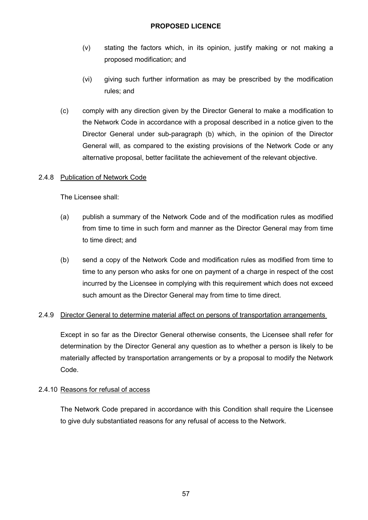- (v) stating the factors which, in its opinion, justify making or not making a proposed modification; and
- (vi) giving such further information as may be prescribed by the modification rules; and
- (c) comply with any direction given by the Director General to make a modification to the Network Code in accordance with a proposal described in a notice given to the Director General under sub-paragraph (b) which, in the opinion of the Director General will, as compared to the existing provisions of the Network Code or any alternative proposal, better facilitate the achievement of the relevant objective.

### 2.4.8 Publication of Network Code

The Licensee shall:

- (a) publish a summary of the Network Code and of the modification rules as modified from time to time in such form and manner as the Director General may from time to time direct; and
- (b) send a copy of the Network Code and modification rules as modified from time to time to any person who asks for one on payment of a charge in respect of the cost incurred by the Licensee in complying with this requirement which does not exceed such amount as the Director General may from time to time direct.

#### 2.4.9 Director General to determine material affect on persons of transportation arrangements

Except in so far as the Director General otherwise consents, the Licensee shall refer for determination by the Director General any question as to whether a person is likely to be materially affected by transportation arrangements or by a proposal to modify the Network Code.

#### 2.4.10 Reasons for refusal of access

The Network Code prepared in accordance with this Condition shall require the Licensee to give duly substantiated reasons for any refusal of access to the Network.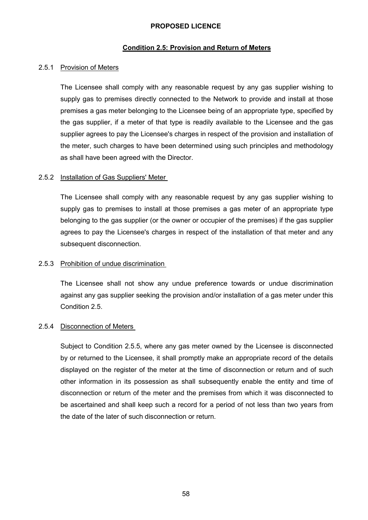#### **Condition 2.5: Provision and Return of Meters**

#### 2.5.1 Provision of Meters

The Licensee shall comply with any reasonable request by any gas supplier wishing to supply gas to premises directly connected to the Network to provide and install at those premises a gas meter belonging to the Licensee being of an appropriate type, specified by the gas supplier, if a meter of that type is readily available to the Licensee and the gas supplier agrees to pay the Licensee's charges in respect of the provision and installation of the meter, such charges to have been determined using such principles and methodology as shall have been agreed with the Director.

#### 2.5.2 Installation of Gas Suppliers' Meter

The Licensee shall comply with any reasonable request by any gas supplier wishing to supply gas to premises to install at those premises a gas meter of an appropriate type belonging to the gas supplier (or the owner or occupier of the premises) if the gas supplier agrees to pay the Licensee's charges in respect of the installation of that meter and any subsequent disconnection.

#### 2.5.3 Prohibition of undue discrimination

The Licensee shall not show any undue preference towards or undue discrimination against any gas supplier seeking the provision and/or installation of a gas meter under this Condition 2.5.

#### 2.5.4 Disconnection of Meters

Subject to Condition 2.5.5, where any gas meter owned by the Licensee is disconnected by or returned to the Licensee, it shall promptly make an appropriate record of the details displayed on the register of the meter at the time of disconnection or return and of such other information in its possession as shall subsequently enable the entity and time of disconnection or return of the meter and the premises from which it was disconnected to be ascertained and shall keep such a record for a period of not less than two years from the date of the later of such disconnection or return.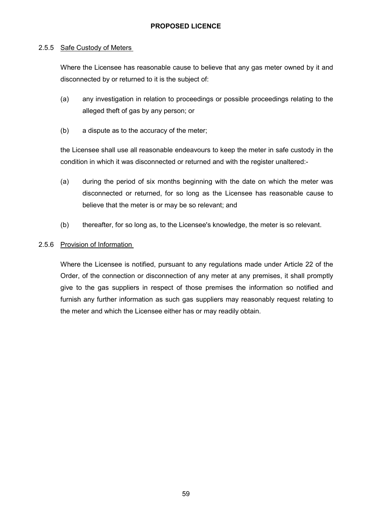#### 2.5.5 Safe Custody of Meters

Where the Licensee has reasonable cause to believe that any gas meter owned by it and disconnected by or returned to it is the subject of:

- (a) any investigation in relation to proceedings or possible proceedings relating to the alleged theft of gas by any person; or
- (b) a dispute as to the accuracy of the meter;

the Licensee shall use all reasonable endeavours to keep the meter in safe custody in the condition in which it was disconnected or returned and with the register unaltered:-

- (a) during the period of six months beginning with the date on which the meter was disconnected or returned, for so long as the Licensee has reasonable cause to believe that the meter is or may be so relevant; and
- (b) thereafter, for so long as, to the Licensee's knowledge, the meter is so relevant.

### 2.5.6 Provision of Information

Where the Licensee is notified, pursuant to any regulations made under Article 22 of the Order, of the connection or disconnection of any meter at any premises, it shall promptly give to the gas suppliers in respect of those premises the information so notified and furnish any further information as such gas suppliers may reasonably request relating to the meter and which the Licensee either has or may readily obtain.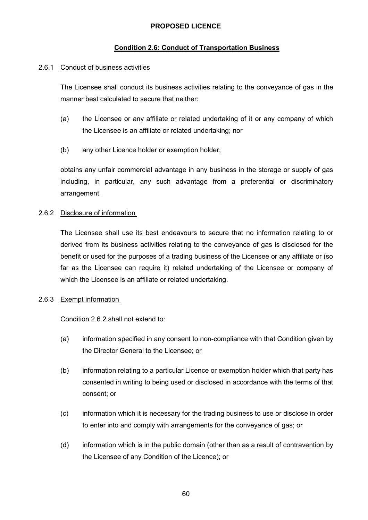# **Condition 2.6: Conduct of Transportation Business**

### 2.6.1 Conduct of business activities

The Licensee shall conduct its business activities relating to the conveyance of gas in the manner best calculated to secure that neither:

- (a) the Licensee or any affiliate or related undertaking of it or any company of which the Licensee is an affiliate or related undertaking; nor
- (b) any other Licence holder or exemption holder;

obtains any unfair commercial advantage in any business in the storage or supply of gas including, in particular, any such advantage from a preferential or discriminatory arrangement.

## 2.6.2 Disclosure of information

The Licensee shall use its best endeavours to secure that no information relating to or derived from its business activities relating to the conveyance of gas is disclosed for the benefit or used for the purposes of a trading business of the Licensee or any affiliate or (so far as the Licensee can require it) related undertaking of the Licensee or company of which the Licensee is an affiliate or related undertaking.

## 2.6.3 Exempt information

Condition 2.6.2 shall not extend to:

- (a) information specified in any consent to non-compliance with that Condition given by the Director General to the Licensee; or
- (b) information relating to a particular Licence or exemption holder which that party has consented in writing to being used or disclosed in accordance with the terms of that consent; or
- (c) information which it is necessary for the trading business to use or disclose in order to enter into and comply with arrangements for the conveyance of gas; or
- (d) information which is in the public domain (other than as a result of contravention by the Licensee of any Condition of the Licence); or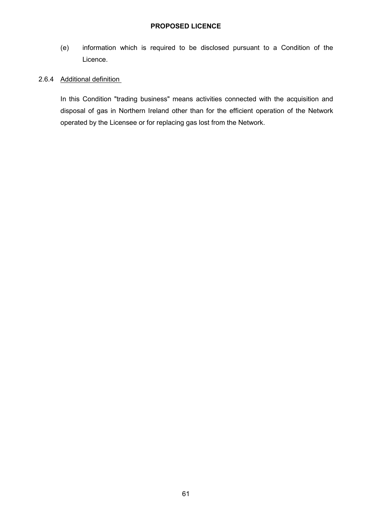(e) information which is required to be disclosed pursuant to a Condition of the Licence.

### 2.6.4 Additional definition

In this Condition "trading business" means activities connected with the acquisition and disposal of gas in Northern Ireland other than for the efficient operation of the Network operated by the Licensee or for replacing gas lost from the Network.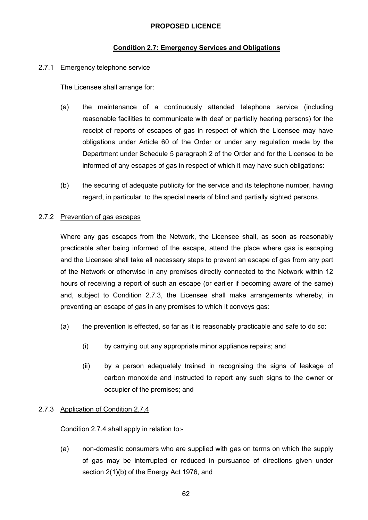### **Condition 2.7: Emergency Services and Obligations**

#### 2.7.1 Emergency telephone service

The Licensee shall arrange for:

- (a) the maintenance of a continuously attended telephone service (including reasonable facilities to communicate with deaf or partially hearing persons) for the receipt of reports of escapes of gas in respect of which the Licensee may have obligations under Article 60 of the Order or under any regulation made by the Department under Schedule 5 paragraph 2 of the Order and for the Licensee to be informed of any escapes of gas in respect of which it may have such obligations:
- (b) the securing of adequate publicity for the service and its telephone number, having regard, in particular, to the special needs of blind and partially sighted persons.

#### 2.7.2 Prevention of gas escapes

Where any gas escapes from the Network, the Licensee shall, as soon as reasonably practicable after being informed of the escape, attend the place where gas is escaping and the Licensee shall take all necessary steps to prevent an escape of gas from any part of the Network or otherwise in any premises directly connected to the Network within 12 hours of receiving a report of such an escape (or earlier if becoming aware of the same) and, subject to Condition 2.7.3, the Licensee shall make arrangements whereby, in preventing an escape of gas in any premises to which it conveys gas:

- (a) the prevention is effected, so far as it is reasonably practicable and safe to do so:
	- (i) by carrying out any appropriate minor appliance repairs; and
	- (ii) by a person adequately trained in recognising the signs of leakage of carbon monoxide and instructed to report any such signs to the owner or occupier of the premises; and

#### 2.7.3 Application of Condition 2.7.4

Condition 2.7.4 shall apply in relation to:-

(a) non-domestic consumers who are supplied with gas on terms on which the supply of gas may be interrupted or reduced in pursuance of directions given under section 2(1)(b) of the Energy Act 1976, and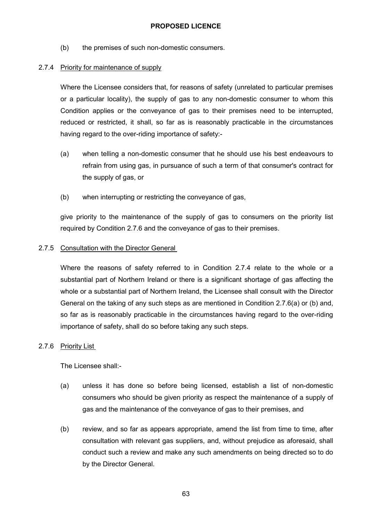(b) the premises of such non-domestic consumers.

### 2.7.4 Priority for maintenance of supply

Where the Licensee considers that, for reasons of safety (unrelated to particular premises or a particular locality), the supply of gas to any non-domestic consumer to whom this Condition applies or the conveyance of gas to their premises need to be interrupted, reduced or restricted, it shall, so far as is reasonably practicable in the circumstances having regard to the over-riding importance of safety:-

- (a) when telling a non-domestic consumer that he should use his best endeavours to refrain from using gas, in pursuance of such a term of that consumer's contract for the supply of gas, or
- (b) when interrupting or restricting the conveyance of gas,

give priority to the maintenance of the supply of gas to consumers on the priority list required by Condition 2.7.6 and the conveyance of gas to their premises.

### 2.7.5 Consultation with the Director General

Where the reasons of safety referred to in Condition 2.7.4 relate to the whole or a substantial part of Northern Ireland or there is a significant shortage of gas affecting the whole or a substantial part of Northern Ireland, the Licensee shall consult with the Director General on the taking of any such steps as are mentioned in Condition 2.7.6(a) or (b) and, so far as is reasonably practicable in the circumstances having regard to the over-riding importance of safety, shall do so before taking any such steps.

#### 2.7.6 Priority List

The Licensee shall:-

- (a) unless it has done so before being licensed, establish a list of non-domestic consumers who should be given priority as respect the maintenance of a supply of gas and the maintenance of the conveyance of gas to their premises, and
- (b) review, and so far as appears appropriate, amend the list from time to time, after consultation with relevant gas suppliers, and, without prejudice as aforesaid, shall conduct such a review and make any such amendments on being directed so to do by the Director General.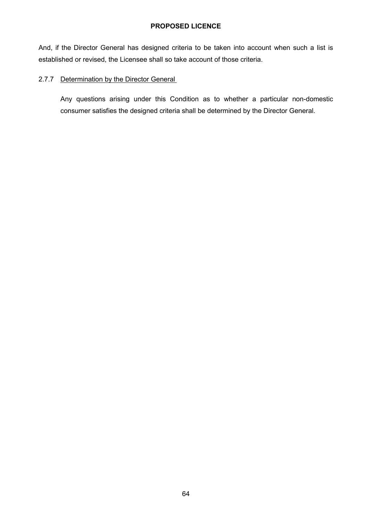And, if the Director General has designed criteria to be taken into account when such a list is established or revised, the Licensee shall so take account of those criteria.

# 2.7.7 Determination by the Director General

Any questions arising under this Condition as to whether a particular non-domestic consumer satisfies the designed criteria shall be determined by the Director General.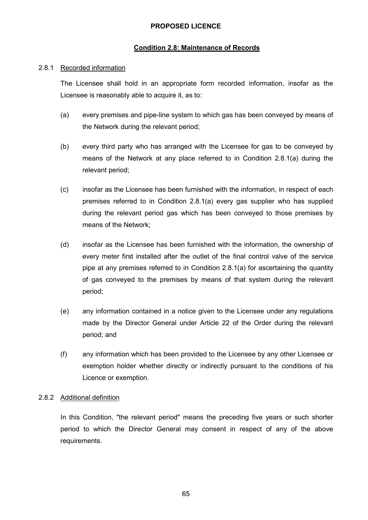### **Condition 2.8: Maintenance of Records**

#### 2.8.1 Recorded information

The Licensee shall hold in an appropriate form recorded information, insofar as the Licensee is reasonably able to acquire it, as to:

- (a) every premises and pipe-line system to which gas has been conveyed by means of the Network during the relevant period;
- (b) every third party who has arranged with the Licensee for gas to be conveyed by means of the Network at any place referred to in Condition 2.8.1(a) during the relevant period;
- (c) insofar as the Licensee has been furnished with the information, in respect of each premises referred to in Condition 2.8.1(a) every gas supplier who has supplied during the relevant period gas which has been conveyed to those premises by means of the Network;
- (d) insofar as the Licensee has been furnished with the information, the ownership of every meter first installed after the outlet of the final control valve of the service pipe at any premises referred to in Condition 2.8.1(a) for ascertaining the quantity of gas conveyed to the premises by means of that system during the relevant period;
- (e) any information contained in a notice given to the Licensee under any regulations made by the Director General under Article 22 of the Order during the relevant period; and
- (f) any information which has been provided to the Licensee by any other Licensee or exemption holder whether directly or indirectly pursuant to the conditions of his Licence or exemption.

#### 2.8.2 Additional definition

In this Condition, "the relevant period" means the preceding five years or such shorter period to which the Director General may consent in respect of any of the above requirements.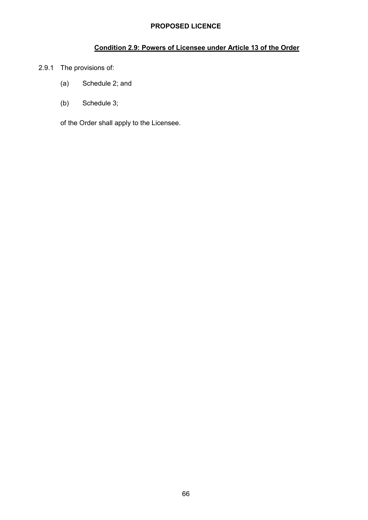# **Condition 2.9: Powers of Licensee under Article 13 of the Order**

- 2.9.1 The provisions of:
	- (a) Schedule 2; and
	- (b) Schedule 3;

of the Order shall apply to the Licensee.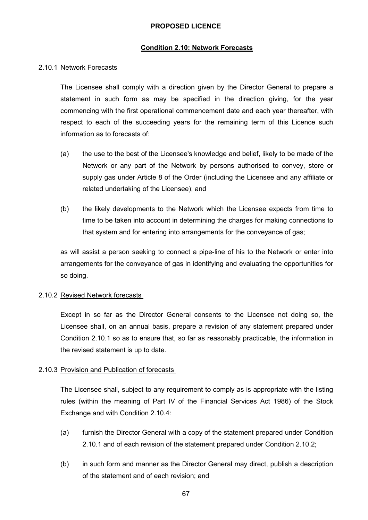#### **Condition 2.10: Network Forecasts**

#### 2.10.1 Network Forecasts

The Licensee shall comply with a direction given by the Director General to prepare a statement in such form as may be specified in the direction giving, for the year commencing with the first operational commencement date and each year thereafter, with respect to each of the succeeding years for the remaining term of this Licence such information as to forecasts of:

- (a) the use to the best of the Licensee's knowledge and belief, likely to be made of the Network or any part of the Network by persons authorised to convey, store or supply gas under Article 8 of the Order (including the Licensee and any affiliate or related undertaking of the Licensee); and
- (b) the likely developments to the Network which the Licensee expects from time to time to be taken into account in determining the charges for making connections to that system and for entering into arrangements for the conveyance of gas;

as will assist a person seeking to connect a pipe-line of his to the Network or enter into arrangements for the conveyance of gas in identifying and evaluating the opportunities for so doing.

#### 2.10.2 Revised Network forecasts

Except in so far as the Director General consents to the Licensee not doing so, the Licensee shall, on an annual basis, prepare a revision of any statement prepared under Condition 2.10.1 so as to ensure that, so far as reasonably practicable, the information in the revised statement is up to date.

#### 2.10.3 Provision and Publication of forecasts

The Licensee shall, subject to any requirement to comply as is appropriate with the listing rules (within the meaning of Part IV of the Financial Services Act 1986) of the Stock Exchange and with Condition 2.10.4:

- (a) furnish the Director General with a copy of the statement prepared under Condition 2.10.1 and of each revision of the statement prepared under Condition 2.10.2;
- (b) in such form and manner as the Director General may direct, publish a description of the statement and of each revision; and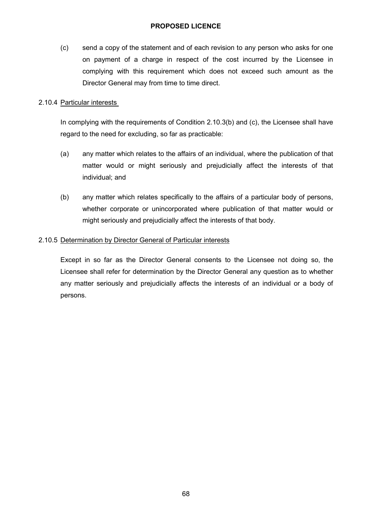(c) send a copy of the statement and of each revision to any person who asks for one on payment of a charge in respect of the cost incurred by the Licensee in complying with this requirement which does not exceed such amount as the Director General may from time to time direct.

#### 2.10.4 Particular interests

In complying with the requirements of Condition 2.10.3(b) and (c), the Licensee shall have regard to the need for excluding, so far as practicable:

- (a) any matter which relates to the affairs of an individual, where the publication of that matter would or might seriously and prejudicially affect the interests of that individual; and
- (b) any matter which relates specifically to the affairs of a particular body of persons, whether corporate or unincorporated where publication of that matter would or might seriously and prejudicially affect the interests of that body.

### 2.10.5 Determination by Director General of Particular interests

Except in so far as the Director General consents to the Licensee not doing so, the Licensee shall refer for determination by the Director General any question as to whether any matter seriously and prejudicially affects the interests of an individual or a body of persons.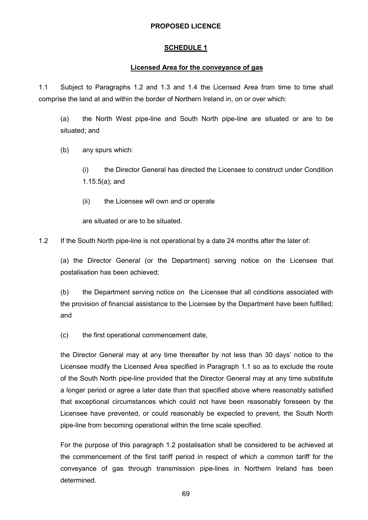#### **SCHEDULE 1**

### **Licensed Area for the conveyance of gas**

1.1 Subject to Paragraphs 1.2 and 1.3 and 1.4 the Licensed Area from time to time shall comprise the land at and within the border of Northern Ireland in, on or over which:

(a) the North West pipe-line and South North pipe-line are situated or are to be situated; and

(b) any spurs which:

(i) the Director General has directed the Licensee to construct under Condition 1.15.5(a); and

(ii) the Licensee will own and or operate

are situated or are to be situated.

1.2 If the South North pipe-line is not operational by a date 24 months after the later of:

(a) the Director General (or the Department) serving notice on the Licensee that postalisation has been achieved;

(b) the Department serving notice on the Licensee that all conditions associated with the provision of financial assistance to the Licensee by the Department have been fulfilled; and

(c) the first operational commencement date,

the Director General may at any time thereafter by not less than 30 days' notice to the Licensee modify the Licensed Area specified in Paragraph 1.1 so as to exclude the route of the South North pipe-line provided that the Director General may at any time substitute a longer period or agree a later date than that specified above where reasonably satisfied that exceptional circumstances which could not have been reasonably foreseen by the Licensee have prevented, or could reasonably be expected to prevent, the South North pipe-line from becoming operational within the time scale specified.

For the purpose of this paragraph 1.2 postalisation shall be considered to be achieved at the commencement of the first tariff period in respect of which a common tariff for the conveyance of gas through transmission pipe-lines in Northern Ireland has been determined.

69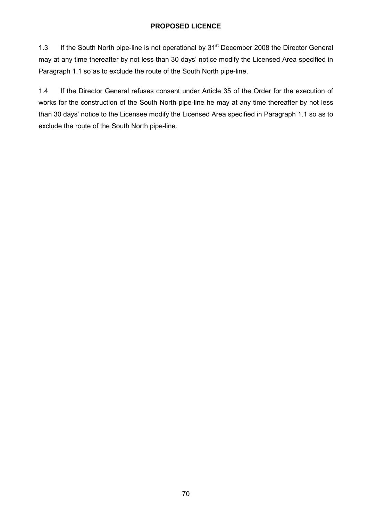1.3 If the South North pipe-line is not operational by 31<sup>st</sup> December 2008 the Director General may at any time thereafter by not less than 30 days' notice modify the Licensed Area specified in Paragraph 1.1 so as to exclude the route of the South North pipe-line.

1.4 If the Director General refuses consent under Article 35 of the Order for the execution of works for the construction of the South North pipe-line he may at any time thereafter by not less than 30 days' notice to the Licensee modify the Licensed Area specified in Paragraph 1.1 so as to exclude the route of the South North pipe-line.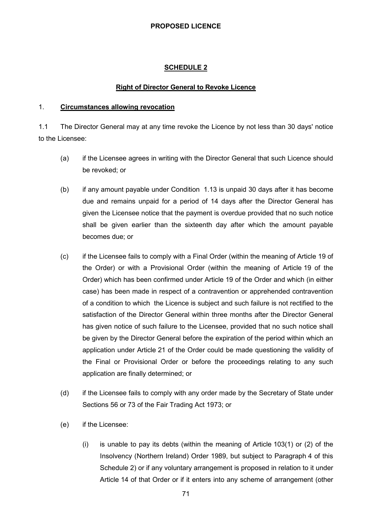## **SCHEDULE 2**

#### **Right of Director General to Revoke Licence**

#### 1. **Circumstances allowing revocation**

1.1 The Director General may at any time revoke the Licence by not less than 30 days' notice to the Licensee:

- (a) if the Licensee agrees in writing with the Director General that such Licence should be revoked; or
- (b) if any amount payable under Condition 1.13 is unpaid 30 days after it has become due and remains unpaid for a period of 14 days after the Director General has given the Licensee notice that the payment is overdue provided that no such notice shall be given earlier than the sixteenth day after which the amount payable becomes due; or
- (c) if the Licensee fails to comply with a Final Order (within the meaning of Article 19 of the Order) or with a Provisional Order (within the meaning of Article 19 of the Order) which has been confirmed under Article 19 of the Order and which (in either case) has been made in respect of a contravention or apprehended contravention of a condition to which the Licence is subject and such failure is not rectified to the satisfaction of the Director General within three months after the Director General has given notice of such failure to the Licensee, provided that no such notice shall be given by the Director General before the expiration of the period within which an application under Article 21 of the Order could be made questioning the validity of the Final or Provisional Order or before the proceedings relating to any such application are finally determined; or
- (d) if the Licensee fails to comply with any order made by the Secretary of State under Sections 56 or 73 of the Fair Trading Act 1973; or
- (e) if the Licensee:
	- $(i)$  is unable to pay its debts (within the meaning of Article 103(1) or (2) of the Insolvency (Northern Ireland) Order 1989, but subject to Paragraph 4 of this Schedule 2) or if any voluntary arrangement is proposed in relation to it under Article 14 of that Order or if it enters into any scheme of arrangement (other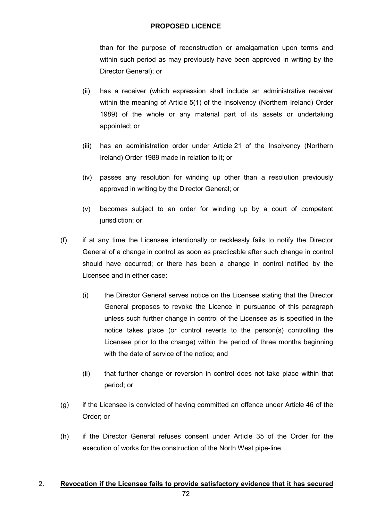than for the purpose of reconstruction or amalgamation upon terms and within such period as may previously have been approved in writing by the Director General); or

- (ii) has a receiver (which expression shall include an administrative receiver within the meaning of Article 5(1) of the Insolvency (Northern Ireland) Order 1989) of the whole or any material part of its assets or undertaking appointed; or
- (iii) has an administration order under Article 21 of the Insolvency (Northern Ireland) Order 1989 made in relation to it; or
- (iv) passes any resolution for winding up other than a resolution previously approved in writing by the Director General; or
- (v) becomes subject to an order for winding up by a court of competent jurisdiction; or
- (f) if at any time the Licensee intentionally or recklessly fails to notify the Director General of a change in control as soon as practicable after such change in control should have occurred; or there has been a change in control notified by the Licensee and in either case:
	- (i) the Director General serves notice on the Licensee stating that the Director General proposes to revoke the Licence in pursuance of this paragraph unless such further change in control of the Licensee as is specified in the notice takes place (or control reverts to the person(s) controlling the Licensee prior to the change) within the period of three months beginning with the date of service of the notice; and
	- (ii) that further change or reversion in control does not take place within that period; or
- (g) if the Licensee is convicted of having committed an offence under Article 46 of the Order; or
- (h) if the Director General refuses consent under Article 35 of the Order for the execution of works for the construction of the North West pipe-line.

## 2. **Revocation if the Licensee fails to provide satisfactory evidence that it has secured**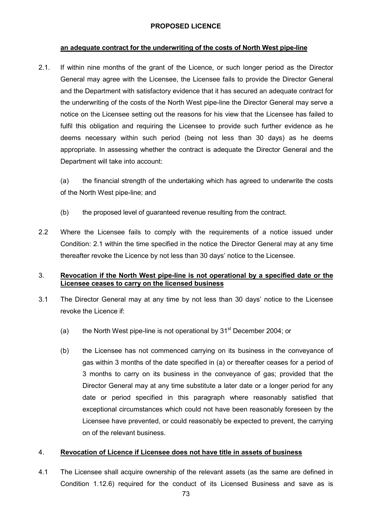#### **an adequate contract for the underwriting of the costs of North West pipe-line**

2.1. If within nine months of the grant of the Licence, or such longer period as the Director General may agree with the Licensee, the Licensee fails to provide the Director General and the Department with satisfactory evidence that it has secured an adequate contract for the underwriting of the costs of the North West pipe-line the Director General may serve a notice on the Licensee setting out the reasons for his view that the Licensee has failed to fulfil this obligation and requiring the Licensee to provide such further evidence as he deems necessary within such period (being not less than 30 days) as he deems appropriate. In assessing whether the contract is adequate the Director General and the Department will take into account:

(a) the financial strength of the undertaking which has agreed to underwrite the costs of the North West pipe-line; and

- (b) the proposed level of guaranteed revenue resulting from the contract.
- 2.2 Where the Licensee fails to comply with the requirements of a notice issued under Condition: 2.1 within the time specified in the notice the Director General may at any time thereafter revoke the Licence by not less than 30 days' notice to the Licensee.

### 3. **Revocation if the North West pipe-line is not operational by a specified date or the Licensee ceases to carry on the licensed business**

- 3.1 The Director General may at any time by not less than 30 days' notice to the Licensee revoke the Licence if:
	- (a) the North West pipe-line is not operational by  $31<sup>st</sup>$  December 2004; or
	- (b) the Licensee has not commenced carrying on its business in the conveyance of gas within 3 months of the date specified in (a) or thereafter ceases for a period of 3 months to carry on its business in the conveyance of gas; provided that the Director General may at any time substitute a later date or a longer period for any date or period specified in this paragraph where reasonably satisfied that exceptional circumstances which could not have been reasonably foreseen by the Licensee have prevented, or could reasonably be expected to prevent, the carrying on of the relevant business.

## 4. **Revocation of Licence if Licensee does not have title in assets of business**

4.1 The Licensee shall acquire ownership of the relevant assets (as the same are defined in Condition 1.12.6) required for the conduct of its Licensed Business and save as is